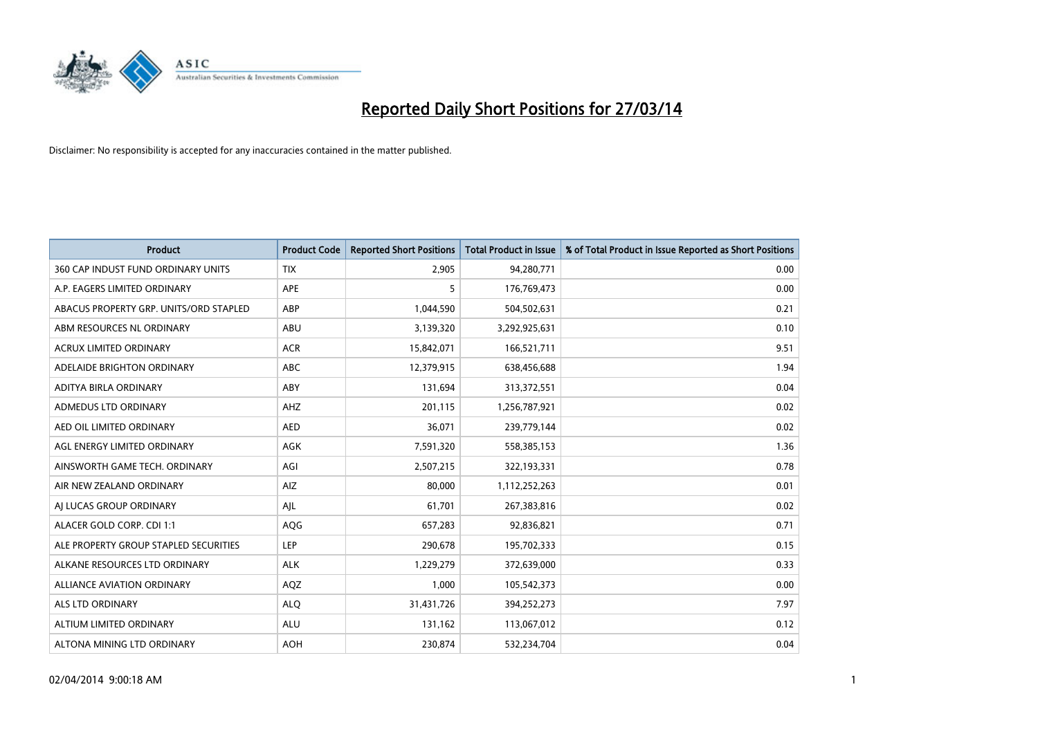

| <b>Product</b>                         | <b>Product Code</b> | <b>Reported Short Positions</b> | <b>Total Product in Issue</b> | % of Total Product in Issue Reported as Short Positions |
|----------------------------------------|---------------------|---------------------------------|-------------------------------|---------------------------------------------------------|
| 360 CAP INDUST FUND ORDINARY UNITS     | <b>TIX</b>          | 2,905                           | 94,280,771                    | 0.00                                                    |
| A.P. EAGERS LIMITED ORDINARY           | APE                 | 5                               | 176,769,473                   | 0.00                                                    |
| ABACUS PROPERTY GRP. UNITS/ORD STAPLED | ABP                 | 1,044,590                       | 504,502,631                   | 0.21                                                    |
| ABM RESOURCES NL ORDINARY              | <b>ABU</b>          | 3,139,320                       | 3,292,925,631                 | 0.10                                                    |
| <b>ACRUX LIMITED ORDINARY</b>          | <b>ACR</b>          | 15,842,071                      | 166,521,711                   | 9.51                                                    |
| ADELAIDE BRIGHTON ORDINARY             | <b>ABC</b>          | 12,379,915                      | 638,456,688                   | 1.94                                                    |
| <b>ADITYA BIRLA ORDINARY</b>           | <b>ABY</b>          | 131,694                         | 313,372,551                   | 0.04                                                    |
| ADMEDUS LTD ORDINARY                   | AHZ                 | 201,115                         | 1,256,787,921                 | 0.02                                                    |
| AED OIL LIMITED ORDINARY               | <b>AED</b>          | 36,071                          | 239,779,144                   | 0.02                                                    |
| AGL ENERGY LIMITED ORDINARY            | <b>AGK</b>          | 7,591,320                       | 558,385,153                   | 1.36                                                    |
| AINSWORTH GAME TECH. ORDINARY          | AGI                 | 2,507,215                       | 322,193,331                   | 0.78                                                    |
| AIR NEW ZEALAND ORDINARY               | AIZ                 | 80,000                          | 1,112,252,263                 | 0.01                                                    |
| AI LUCAS GROUP ORDINARY                | AJL                 | 61,701                          | 267,383,816                   | 0.02                                                    |
| ALACER GOLD CORP. CDI 1:1              | AQG                 | 657,283                         | 92,836,821                    | 0.71                                                    |
| ALE PROPERTY GROUP STAPLED SECURITIES  | <b>LEP</b>          | 290,678                         | 195,702,333                   | 0.15                                                    |
| ALKANE RESOURCES LTD ORDINARY          | <b>ALK</b>          | 1,229,279                       | 372,639,000                   | 0.33                                                    |
| ALLIANCE AVIATION ORDINARY             | AQZ                 | 1,000                           | 105,542,373                   | 0.00                                                    |
| <b>ALS LTD ORDINARY</b>                | <b>ALQ</b>          | 31,431,726                      | 394,252,273                   | 7.97                                                    |
| ALTIUM LIMITED ORDINARY                | <b>ALU</b>          | 131,162                         | 113,067,012                   | 0.12                                                    |
| ALTONA MINING LTD ORDINARY             | <b>AOH</b>          | 230,874                         | 532,234,704                   | 0.04                                                    |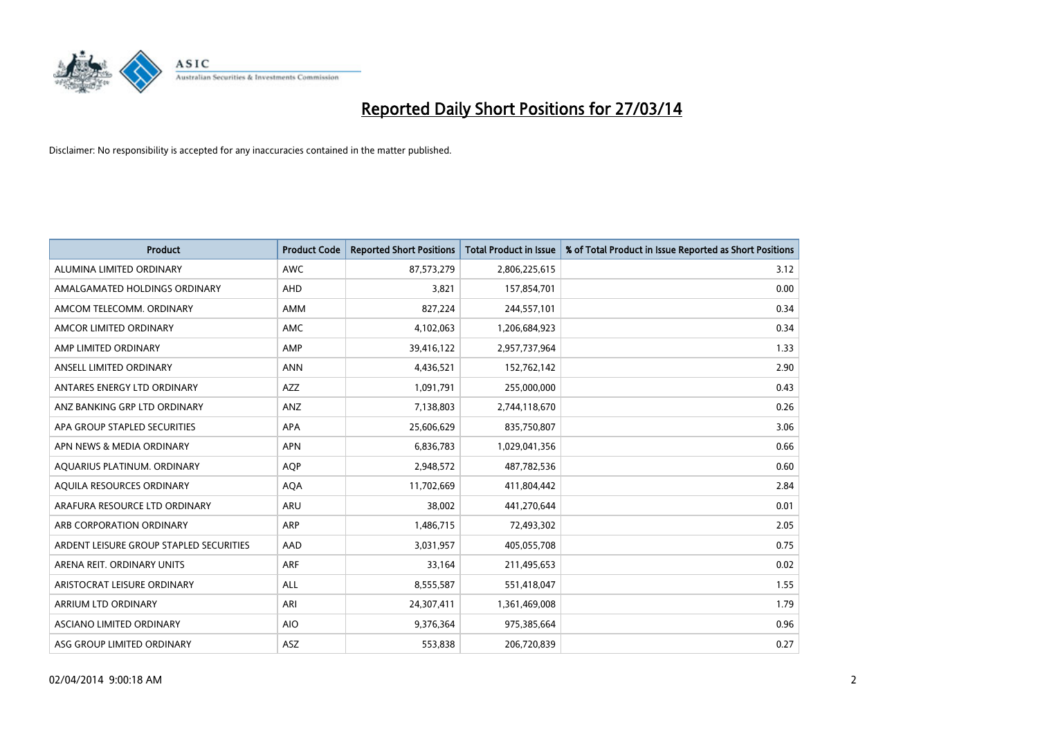

| <b>Product</b>                          | <b>Product Code</b> | <b>Reported Short Positions</b> | <b>Total Product in Issue</b> | % of Total Product in Issue Reported as Short Positions |
|-----------------------------------------|---------------------|---------------------------------|-------------------------------|---------------------------------------------------------|
| ALUMINA LIMITED ORDINARY                | <b>AWC</b>          | 87,573,279                      | 2,806,225,615                 | 3.12                                                    |
| AMALGAMATED HOLDINGS ORDINARY           | AHD                 | 3,821                           | 157,854,701                   | 0.00                                                    |
| AMCOM TELECOMM, ORDINARY                | AMM                 | 827,224                         | 244,557,101                   | 0.34                                                    |
| AMCOR LIMITED ORDINARY                  | AMC                 | 4,102,063                       | 1,206,684,923                 | 0.34                                                    |
| AMP LIMITED ORDINARY                    | AMP                 | 39,416,122                      | 2,957,737,964                 | 1.33                                                    |
| ANSELL LIMITED ORDINARY                 | <b>ANN</b>          | 4,436,521                       | 152,762,142                   | 2.90                                                    |
| ANTARES ENERGY LTD ORDINARY             | AZZ                 | 1,091,791                       | 255,000,000                   | 0.43                                                    |
| ANZ BANKING GRP LTD ORDINARY            | ANZ                 | 7,138,803                       | 2,744,118,670                 | 0.26                                                    |
| APA GROUP STAPLED SECURITIES            | <b>APA</b>          | 25,606,629                      | 835,750,807                   | 3.06                                                    |
| APN NEWS & MEDIA ORDINARY               | <b>APN</b>          | 6,836,783                       | 1,029,041,356                 | 0.66                                                    |
| AQUARIUS PLATINUM. ORDINARY             | <b>AOP</b>          | 2,948,572                       | 487,782,536                   | 0.60                                                    |
| AQUILA RESOURCES ORDINARY               | <b>AQA</b>          | 11,702,669                      | 411,804,442                   | 2.84                                                    |
| ARAFURA RESOURCE LTD ORDINARY           | ARU                 | 38,002                          | 441,270,644                   | 0.01                                                    |
| ARB CORPORATION ORDINARY                | ARP                 | 1,486,715                       | 72,493,302                    | 2.05                                                    |
| ARDENT LEISURE GROUP STAPLED SECURITIES | AAD                 | 3,031,957                       | 405,055,708                   | 0.75                                                    |
| ARENA REIT. ORDINARY UNITS              | <b>ARF</b>          | 33,164                          | 211,495,653                   | 0.02                                                    |
| ARISTOCRAT LEISURE ORDINARY             | ALL                 | 8,555,587                       | 551,418,047                   | 1.55                                                    |
| ARRIUM LTD ORDINARY                     | ARI                 | 24,307,411                      | 1,361,469,008                 | 1.79                                                    |
| ASCIANO LIMITED ORDINARY                | <b>AIO</b>          | 9,376,364                       | 975,385,664                   | 0.96                                                    |
| ASG GROUP LIMITED ORDINARY              | ASZ                 | 553,838                         | 206,720,839                   | 0.27                                                    |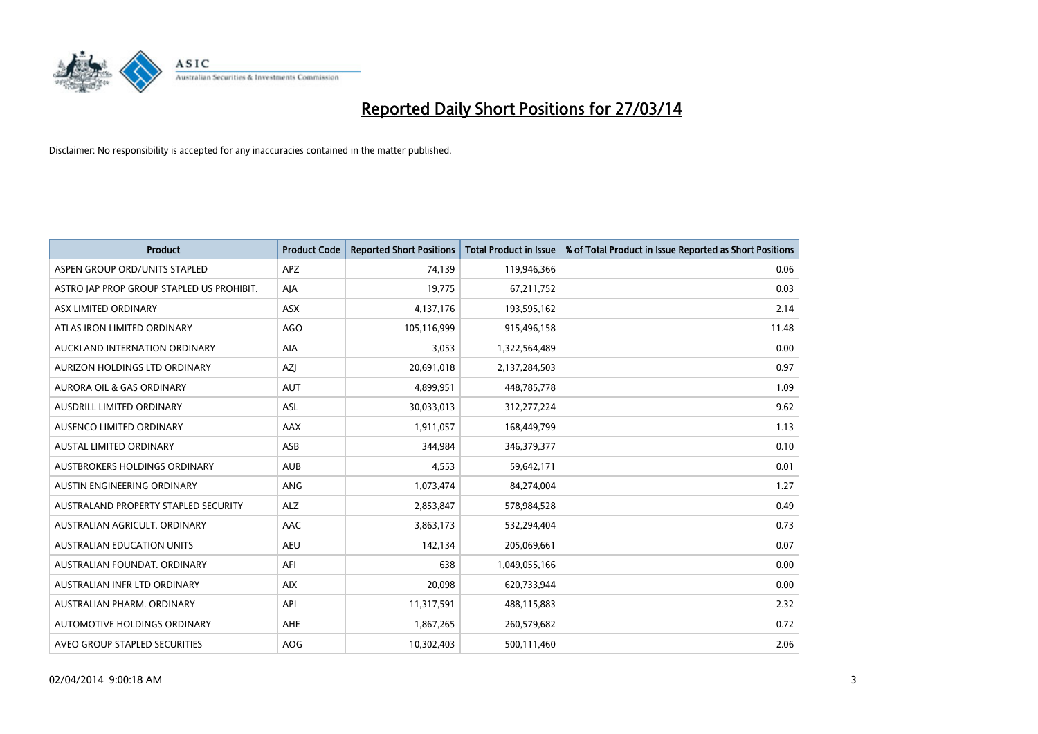

| <b>Product</b>                            | <b>Product Code</b> | <b>Reported Short Positions</b> | <b>Total Product in Issue</b> | % of Total Product in Issue Reported as Short Positions |
|-------------------------------------------|---------------------|---------------------------------|-------------------------------|---------------------------------------------------------|
| ASPEN GROUP ORD/UNITS STAPLED             | <b>APZ</b>          | 74,139                          | 119,946,366                   | 0.06                                                    |
| ASTRO JAP PROP GROUP STAPLED US PROHIBIT. | AJA                 | 19,775                          | 67,211,752                    | 0.03                                                    |
| ASX LIMITED ORDINARY                      | <b>ASX</b>          | 4,137,176                       | 193,595,162                   | 2.14                                                    |
| ATLAS IRON LIMITED ORDINARY               | AGO                 | 105,116,999                     | 915,496,158                   | 11.48                                                   |
| AUCKLAND INTERNATION ORDINARY             | AIA                 | 3,053                           | 1,322,564,489                 | 0.00                                                    |
| AURIZON HOLDINGS LTD ORDINARY             | AZJ                 | 20,691,018                      | 2,137,284,503                 | 0.97                                                    |
| <b>AURORA OIL &amp; GAS ORDINARY</b>      | <b>AUT</b>          | 4,899,951                       | 448,785,778                   | 1.09                                                    |
| AUSDRILL LIMITED ORDINARY                 | ASL                 | 30,033,013                      | 312,277,224                   | 9.62                                                    |
| AUSENCO LIMITED ORDINARY                  | AAX                 | 1,911,057                       | 168,449,799                   | 1.13                                                    |
| <b>AUSTAL LIMITED ORDINARY</b>            | ASB                 | 344,984                         | 346,379,377                   | 0.10                                                    |
| AUSTBROKERS HOLDINGS ORDINARY             | <b>AUB</b>          | 4,553                           | 59,642,171                    | 0.01                                                    |
| AUSTIN ENGINEERING ORDINARY               | ANG                 | 1,073,474                       | 84,274,004                    | 1.27                                                    |
| AUSTRALAND PROPERTY STAPLED SECURITY      | <b>ALZ</b>          | 2,853,847                       | 578,984,528                   | 0.49                                                    |
| AUSTRALIAN AGRICULT, ORDINARY             | AAC                 | 3,863,173                       | 532,294,404                   | 0.73                                                    |
| <b>AUSTRALIAN EDUCATION UNITS</b>         | <b>AEU</b>          | 142,134                         | 205,069,661                   | 0.07                                                    |
| AUSTRALIAN FOUNDAT. ORDINARY              | AFI                 | 638                             | 1,049,055,166                 | 0.00                                                    |
| AUSTRALIAN INFR LTD ORDINARY              | <b>AIX</b>          | 20,098                          | 620,733,944                   | 0.00                                                    |
| AUSTRALIAN PHARM. ORDINARY                | API                 | 11,317,591                      | 488,115,883                   | 2.32                                                    |
| AUTOMOTIVE HOLDINGS ORDINARY              | AHE                 | 1,867,265                       | 260,579,682                   | 0.72                                                    |
| AVEO GROUP STAPLED SECURITIES             | AOG                 | 10,302,403                      | 500,111,460                   | 2.06                                                    |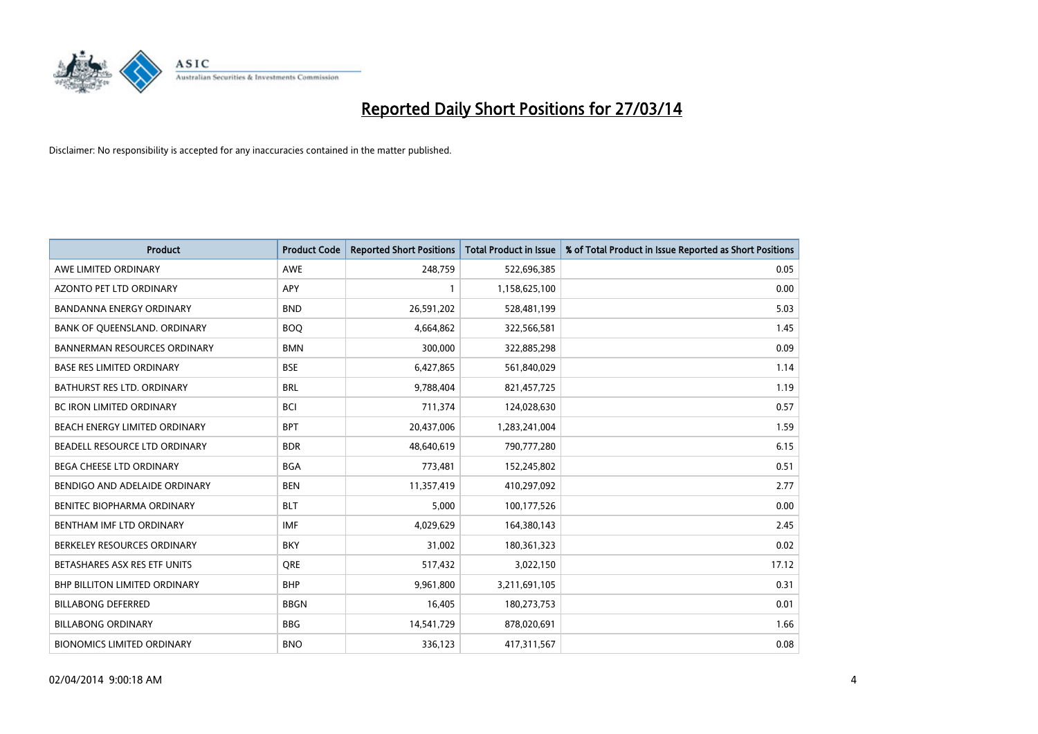

| <b>Product</b>                      | <b>Product Code</b> | <b>Reported Short Positions</b> | <b>Total Product in Issue</b> | % of Total Product in Issue Reported as Short Positions |
|-------------------------------------|---------------------|---------------------------------|-------------------------------|---------------------------------------------------------|
| AWE LIMITED ORDINARY                | <b>AWE</b>          | 248,759                         | 522,696,385                   | 0.05                                                    |
| AZONTO PET LTD ORDINARY             | APY                 |                                 | 1,158,625,100                 | 0.00                                                    |
| <b>BANDANNA ENERGY ORDINARY</b>     | <b>BND</b>          | 26,591,202                      | 528,481,199                   | 5.03                                                    |
| BANK OF QUEENSLAND. ORDINARY        | <b>BOO</b>          | 4,664,862                       | 322,566,581                   | 1.45                                                    |
| <b>BANNERMAN RESOURCES ORDINARY</b> | <b>BMN</b>          | 300,000                         | 322,885,298                   | 0.09                                                    |
| <b>BASE RES LIMITED ORDINARY</b>    | <b>BSE</b>          | 6,427,865                       | 561,840,029                   | 1.14                                                    |
| BATHURST RES LTD. ORDINARY          | <b>BRL</b>          | 9,788,404                       | 821,457,725                   | 1.19                                                    |
| BC IRON LIMITED ORDINARY            | <b>BCI</b>          | 711,374                         | 124,028,630                   | 0.57                                                    |
| BEACH ENERGY LIMITED ORDINARY       | <b>BPT</b>          | 20,437,006                      | 1,283,241,004                 | 1.59                                                    |
| BEADELL RESOURCE LTD ORDINARY       | <b>BDR</b>          | 48,640,619                      | 790,777,280                   | 6.15                                                    |
| BEGA CHEESE LTD ORDINARY            | <b>BGA</b>          | 773,481                         | 152,245,802                   | 0.51                                                    |
| BENDIGO AND ADELAIDE ORDINARY       | <b>BEN</b>          | 11,357,419                      | 410,297,092                   | 2.77                                                    |
| BENITEC BIOPHARMA ORDINARY          | <b>BLT</b>          | 5,000                           | 100,177,526                   | 0.00                                                    |
| BENTHAM IMF LTD ORDINARY            | <b>IMF</b>          | 4,029,629                       | 164,380,143                   | 2.45                                                    |
| BERKELEY RESOURCES ORDINARY         | <b>BKY</b>          | 31,002                          | 180,361,323                   | 0.02                                                    |
| BETASHARES ASX RES ETF UNITS        | <b>ORE</b>          | 517,432                         | 3,022,150                     | 17.12                                                   |
| BHP BILLITON LIMITED ORDINARY       | <b>BHP</b>          | 9,961,800                       | 3,211,691,105                 | 0.31                                                    |
| <b>BILLABONG DEFERRED</b>           | <b>BBGN</b>         | 16,405                          | 180,273,753                   | 0.01                                                    |
| <b>BILLABONG ORDINARY</b>           | <b>BBG</b>          | 14,541,729                      | 878,020,691                   | 1.66                                                    |
| <b>BIONOMICS LIMITED ORDINARY</b>   | <b>BNO</b>          | 336,123                         | 417,311,567                   | 0.08                                                    |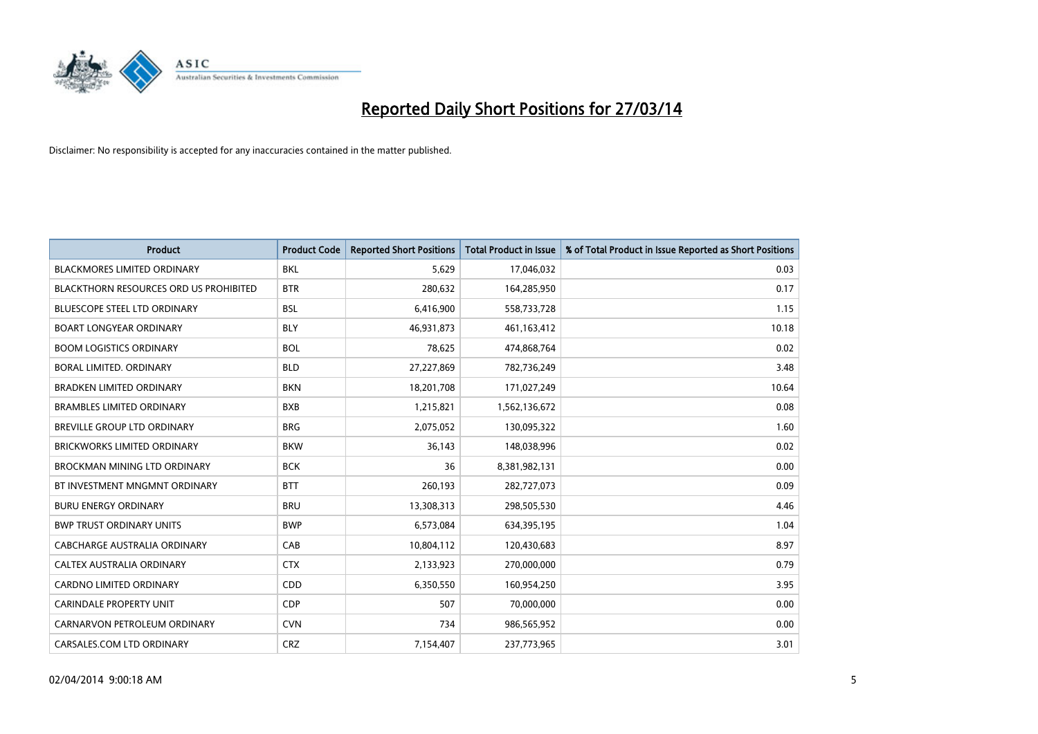

| Product                                       | <b>Product Code</b> | <b>Reported Short Positions</b> | <b>Total Product in Issue</b> | % of Total Product in Issue Reported as Short Positions |
|-----------------------------------------------|---------------------|---------------------------------|-------------------------------|---------------------------------------------------------|
| <b>BLACKMORES LIMITED ORDINARY</b>            | <b>BKL</b>          | 5,629                           | 17,046,032                    | 0.03                                                    |
| <b>BLACKTHORN RESOURCES ORD US PROHIBITED</b> | <b>BTR</b>          | 280,632                         | 164,285,950                   | 0.17                                                    |
| BLUESCOPE STEEL LTD ORDINARY                  | <b>BSL</b>          | 6,416,900                       | 558,733,728                   | 1.15                                                    |
| <b>BOART LONGYEAR ORDINARY</b>                | <b>BLY</b>          | 46,931,873                      | 461,163,412                   | 10.18                                                   |
| <b>BOOM LOGISTICS ORDINARY</b>                | <b>BOL</b>          | 78,625                          | 474,868,764                   | 0.02                                                    |
| BORAL LIMITED. ORDINARY                       | <b>BLD</b>          | 27,227,869                      | 782,736,249                   | 3.48                                                    |
| <b>BRADKEN LIMITED ORDINARY</b>               | <b>BKN</b>          | 18,201,708                      | 171,027,249                   | 10.64                                                   |
| <b>BRAMBLES LIMITED ORDINARY</b>              | <b>BXB</b>          | 1,215,821                       | 1,562,136,672                 | 0.08                                                    |
| <b>BREVILLE GROUP LTD ORDINARY</b>            | <b>BRG</b>          | 2,075,052                       | 130,095,322                   | 1.60                                                    |
| <b>BRICKWORKS LIMITED ORDINARY</b>            | <b>BKW</b>          | 36,143                          | 148,038,996                   | 0.02                                                    |
| BROCKMAN MINING LTD ORDINARY                  | <b>BCK</b>          | 36                              | 8,381,982,131                 | 0.00                                                    |
| BT INVESTMENT MNGMNT ORDINARY                 | <b>BTT</b>          | 260,193                         | 282,727,073                   | 0.09                                                    |
| <b>BURU ENERGY ORDINARY</b>                   | <b>BRU</b>          | 13,308,313                      | 298,505,530                   | 4.46                                                    |
| <b>BWP TRUST ORDINARY UNITS</b>               | <b>BWP</b>          | 6,573,084                       | 634,395,195                   | 1.04                                                    |
| CABCHARGE AUSTRALIA ORDINARY                  | CAB                 | 10,804,112                      | 120,430,683                   | 8.97                                                    |
| <b>CALTEX AUSTRALIA ORDINARY</b>              | <b>CTX</b>          | 2,133,923                       | 270,000,000                   | 0.79                                                    |
| <b>CARDNO LIMITED ORDINARY</b>                | CDD                 | 6,350,550                       | 160,954,250                   | 3.95                                                    |
| <b>CARINDALE PROPERTY UNIT</b>                | <b>CDP</b>          | 507                             | 70,000,000                    | 0.00                                                    |
| CARNARVON PETROLEUM ORDINARY                  | <b>CVN</b>          | 734                             | 986,565,952                   | 0.00                                                    |
| CARSALES.COM LTD ORDINARY                     | <b>CRZ</b>          | 7,154,407                       | 237,773,965                   | 3.01                                                    |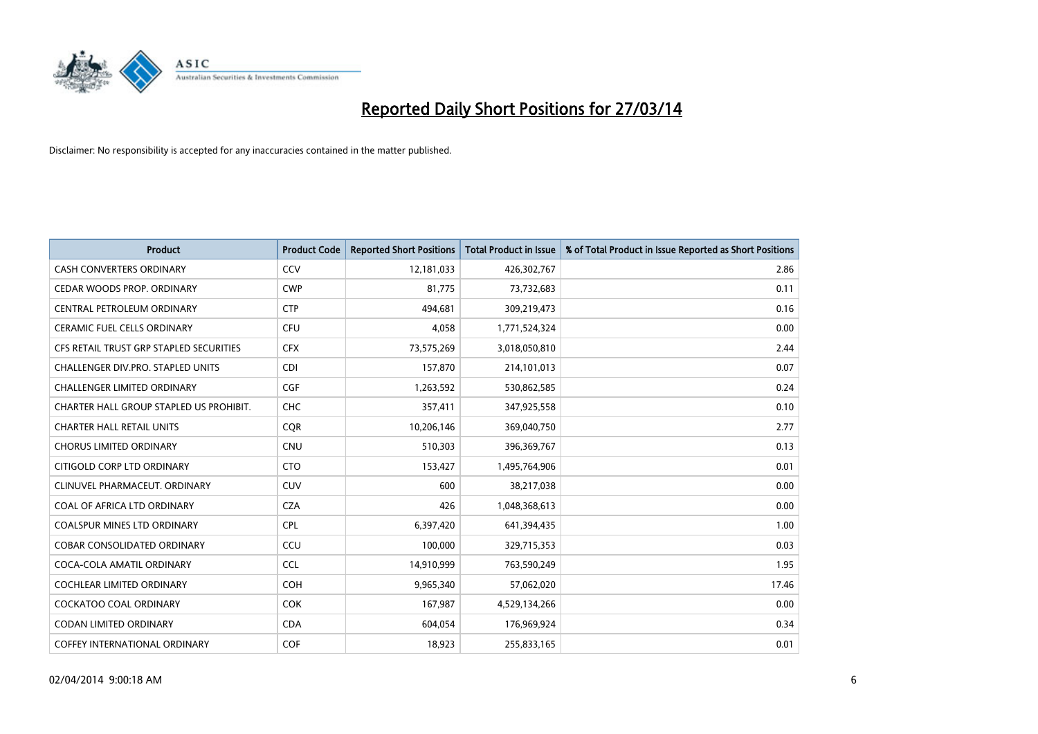

| <b>Product</b>                          | <b>Product Code</b> | <b>Reported Short Positions</b> | <b>Total Product in Issue</b> | % of Total Product in Issue Reported as Short Positions |
|-----------------------------------------|---------------------|---------------------------------|-------------------------------|---------------------------------------------------------|
| <b>CASH CONVERTERS ORDINARY</b>         | CCV                 | 12,181,033                      | 426,302,767                   | 2.86                                                    |
| CEDAR WOODS PROP. ORDINARY              | <b>CWP</b>          | 81,775                          | 73,732,683                    | 0.11                                                    |
| <b>CENTRAL PETROLEUM ORDINARY</b>       | <b>CTP</b>          | 494.681                         | 309,219,473                   | 0.16                                                    |
| CERAMIC FUEL CELLS ORDINARY             | <b>CFU</b>          | 4,058                           | 1,771,524,324                 | 0.00                                                    |
| CFS RETAIL TRUST GRP STAPLED SECURITIES | <b>CFX</b>          | 73,575,269                      | 3,018,050,810                 | 2.44                                                    |
| CHALLENGER DIV.PRO. STAPLED UNITS       | <b>CDI</b>          | 157,870                         | 214,101,013                   | 0.07                                                    |
| <b>CHALLENGER LIMITED ORDINARY</b>      | <b>CGF</b>          | 1,263,592                       | 530,862,585                   | 0.24                                                    |
| CHARTER HALL GROUP STAPLED US PROHIBIT. | <b>CHC</b>          | 357,411                         | 347,925,558                   | 0.10                                                    |
| <b>CHARTER HALL RETAIL UNITS</b>        | <b>CQR</b>          | 10,206,146                      | 369,040,750                   | 2.77                                                    |
| <b>CHORUS LIMITED ORDINARY</b>          | <b>CNU</b>          | 510,303                         | 396,369,767                   | 0.13                                                    |
| CITIGOLD CORP LTD ORDINARY              | <b>CTO</b>          | 153,427                         | 1,495,764,906                 | 0.01                                                    |
| CLINUVEL PHARMACEUT, ORDINARY           | <b>CUV</b>          | 600                             | 38,217,038                    | 0.00                                                    |
| COAL OF AFRICA LTD ORDINARY             | <b>CZA</b>          | 426                             | 1,048,368,613                 | 0.00                                                    |
| <b>COALSPUR MINES LTD ORDINARY</b>      | <b>CPL</b>          | 6,397,420                       | 641,394,435                   | 1.00                                                    |
| <b>COBAR CONSOLIDATED ORDINARY</b>      | CCU                 | 100,000                         | 329,715,353                   | 0.03                                                    |
| COCA-COLA AMATIL ORDINARY               | <b>CCL</b>          | 14,910,999                      | 763,590,249                   | 1.95                                                    |
| <b>COCHLEAR LIMITED ORDINARY</b>        | <b>COH</b>          | 9,965,340                       | 57,062,020                    | 17.46                                                   |
| <b>COCKATOO COAL ORDINARY</b>           | <b>COK</b>          | 167,987                         | 4,529,134,266                 | 0.00                                                    |
| CODAN LIMITED ORDINARY                  | <b>CDA</b>          | 604,054                         | 176,969,924                   | 0.34                                                    |
| COFFEY INTERNATIONAL ORDINARY           | <b>COF</b>          | 18,923                          | 255,833,165                   | 0.01                                                    |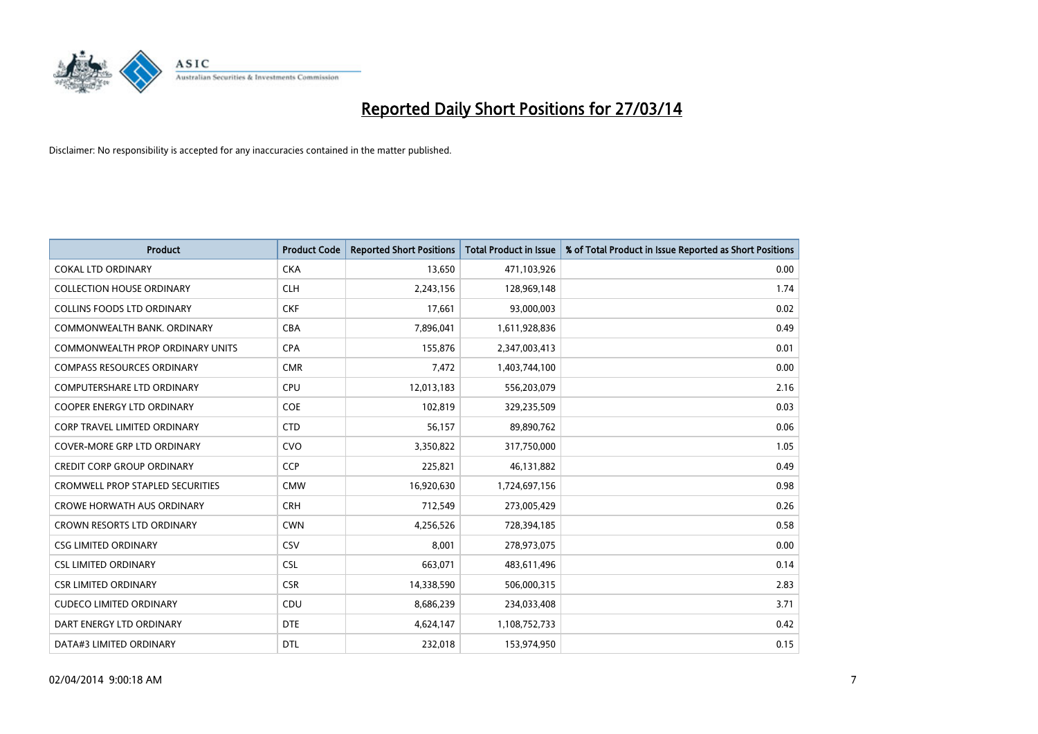

| <b>Product</b>                          | <b>Product Code</b> | <b>Reported Short Positions</b> | <b>Total Product in Issue</b> | % of Total Product in Issue Reported as Short Positions |
|-----------------------------------------|---------------------|---------------------------------|-------------------------------|---------------------------------------------------------|
| <b>COKAL LTD ORDINARY</b>               | <b>CKA</b>          | 13,650                          | 471,103,926                   | 0.00                                                    |
| <b>COLLECTION HOUSE ORDINARY</b>        | <b>CLH</b>          | 2,243,156                       | 128,969,148                   | 1.74                                                    |
| <b>COLLINS FOODS LTD ORDINARY</b>       | <b>CKF</b>          | 17,661                          | 93,000,003                    | 0.02                                                    |
| COMMONWEALTH BANK, ORDINARY             | <b>CBA</b>          | 7,896,041                       | 1,611,928,836                 | 0.49                                                    |
| <b>COMMONWEALTH PROP ORDINARY UNITS</b> | <b>CPA</b>          | 155,876                         | 2,347,003,413                 | 0.01                                                    |
| <b>COMPASS RESOURCES ORDINARY</b>       | <b>CMR</b>          | 7,472                           | 1,403,744,100                 | 0.00                                                    |
| <b>COMPUTERSHARE LTD ORDINARY</b>       | <b>CPU</b>          | 12,013,183                      | 556,203,079                   | 2.16                                                    |
| <b>COOPER ENERGY LTD ORDINARY</b>       | <b>COE</b>          | 102,819                         | 329,235,509                   | 0.03                                                    |
| CORP TRAVEL LIMITED ORDINARY            | <b>CTD</b>          | 56,157                          | 89,890,762                    | 0.06                                                    |
| <b>COVER-MORE GRP LTD ORDINARY</b>      | <b>CVO</b>          | 3,350,822                       | 317,750,000                   | 1.05                                                    |
| <b>CREDIT CORP GROUP ORDINARY</b>       | <b>CCP</b>          | 225,821                         | 46,131,882                    | 0.49                                                    |
| <b>CROMWELL PROP STAPLED SECURITIES</b> | <b>CMW</b>          | 16,920,630                      | 1,724,697,156                 | 0.98                                                    |
| <b>CROWE HORWATH AUS ORDINARY</b>       | <b>CRH</b>          | 712,549                         | 273,005,429                   | 0.26                                                    |
| <b>CROWN RESORTS LTD ORDINARY</b>       | <b>CWN</b>          | 4,256,526                       | 728,394,185                   | 0.58                                                    |
| <b>CSG LIMITED ORDINARY</b>             | CSV                 | 8,001                           | 278,973,075                   | 0.00                                                    |
| <b>CSL LIMITED ORDINARY</b>             | <b>CSL</b>          | 663,071                         | 483,611,496                   | 0.14                                                    |
| <b>CSR LIMITED ORDINARY</b>             | <b>CSR</b>          | 14,338,590                      | 506,000,315                   | 2.83                                                    |
| <b>CUDECO LIMITED ORDINARY</b>          | <b>CDU</b>          | 8,686,239                       | 234,033,408                   | 3.71                                                    |
| DART ENERGY LTD ORDINARY                | <b>DTE</b>          | 4,624,147                       | 1,108,752,733                 | 0.42                                                    |
| DATA#3 LIMITED ORDINARY                 | <b>DTL</b>          | 232,018                         | 153,974,950                   | 0.15                                                    |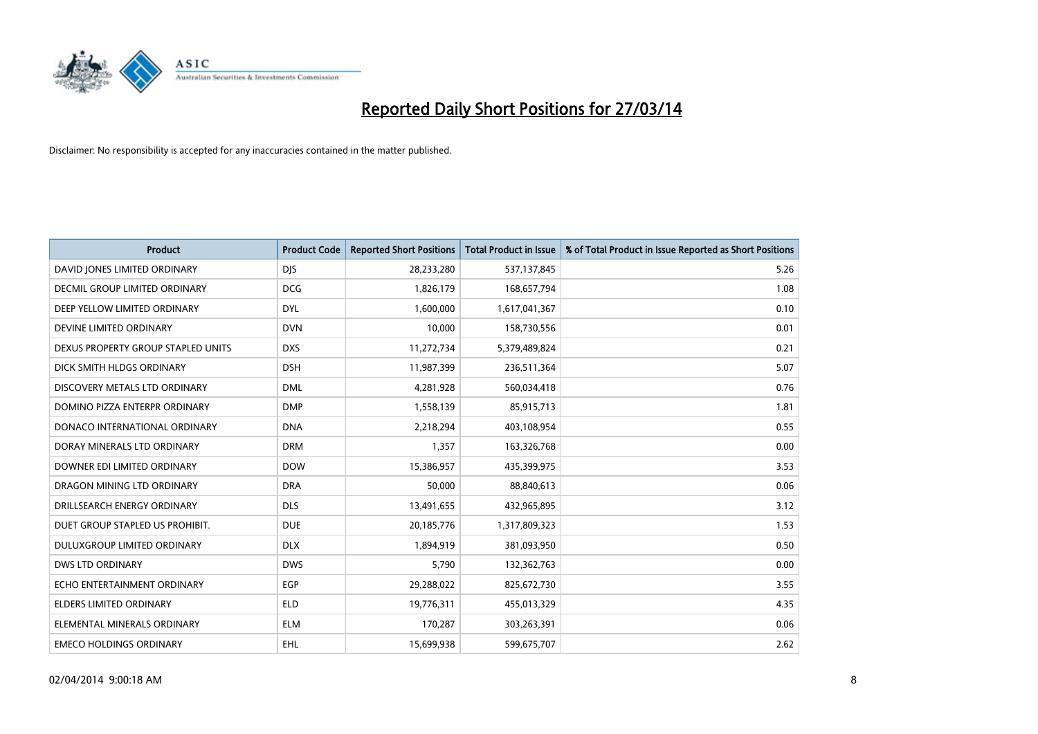

| <b>Product</b>                       | <b>Product Code</b> | <b>Reported Short Positions</b> | <b>Total Product in Issue</b> | % of Total Product in Issue Reported as Short Positions |
|--------------------------------------|---------------------|---------------------------------|-------------------------------|---------------------------------------------------------|
| DAVID JONES LIMITED ORDINARY         | <b>DJS</b>          | 28,233,280                      | 537,137,845                   | 5.26                                                    |
| <b>DECMIL GROUP LIMITED ORDINARY</b> | <b>DCG</b>          | 1,826,179                       | 168,657,794                   | 1.08                                                    |
| DEEP YELLOW LIMITED ORDINARY         | <b>DYL</b>          | 1,600,000                       | 1,617,041,367                 | 0.10                                                    |
| DEVINE LIMITED ORDINARY              | <b>DVN</b>          | 10,000                          | 158,730,556                   | 0.01                                                    |
| DEXUS PROPERTY GROUP STAPLED UNITS   | <b>DXS</b>          | 11,272,734                      | 5,379,489,824                 | 0.21                                                    |
| DICK SMITH HLDGS ORDINARY            | <b>DSH</b>          | 11,987,399                      | 236,511,364                   | 5.07                                                    |
| DISCOVERY METALS LTD ORDINARY        | <b>DML</b>          | 4,281,928                       | 560,034,418                   | 0.76                                                    |
| DOMINO PIZZA ENTERPR ORDINARY        | <b>DMP</b>          | 1,558,139                       | 85,915,713                    | 1.81                                                    |
| DONACO INTERNATIONAL ORDINARY        | <b>DNA</b>          | 2,218,294                       | 403,108,954                   | 0.55                                                    |
| DORAY MINERALS LTD ORDINARY          | <b>DRM</b>          | 1,357                           | 163,326,768                   | 0.00                                                    |
| DOWNER EDI LIMITED ORDINARY          | <b>DOW</b>          | 15,386,957                      | 435,399,975                   | 3.53                                                    |
| DRAGON MINING LTD ORDINARY           | <b>DRA</b>          | 50,000                          | 88,840,613                    | 0.06                                                    |
| DRILLSEARCH ENERGY ORDINARY          | <b>DLS</b>          | 13,491,655                      | 432,965,895                   | 3.12                                                    |
| DUET GROUP STAPLED US PROHIBIT.      | <b>DUE</b>          | 20,185,776                      | 1,317,809,323                 | 1.53                                                    |
| DULUXGROUP LIMITED ORDINARY          | <b>DLX</b>          | 1,894,919                       | 381,093,950                   | 0.50                                                    |
| <b>DWS LTD ORDINARY</b>              | <b>DWS</b>          | 5,790                           | 132,362,763                   | 0.00                                                    |
| ECHO ENTERTAINMENT ORDINARY          | <b>EGP</b>          | 29,288,022                      | 825,672,730                   | 3.55                                                    |
| <b>ELDERS LIMITED ORDINARY</b>       | <b>ELD</b>          | 19,776,311                      | 455,013,329                   | 4.35                                                    |
| ELEMENTAL MINERALS ORDINARY          | <b>ELM</b>          | 170,287                         | 303,263,391                   | 0.06                                                    |
| <b>EMECO HOLDINGS ORDINARY</b>       | <b>EHL</b>          | 15,699,938                      | 599,675,707                   | 2.62                                                    |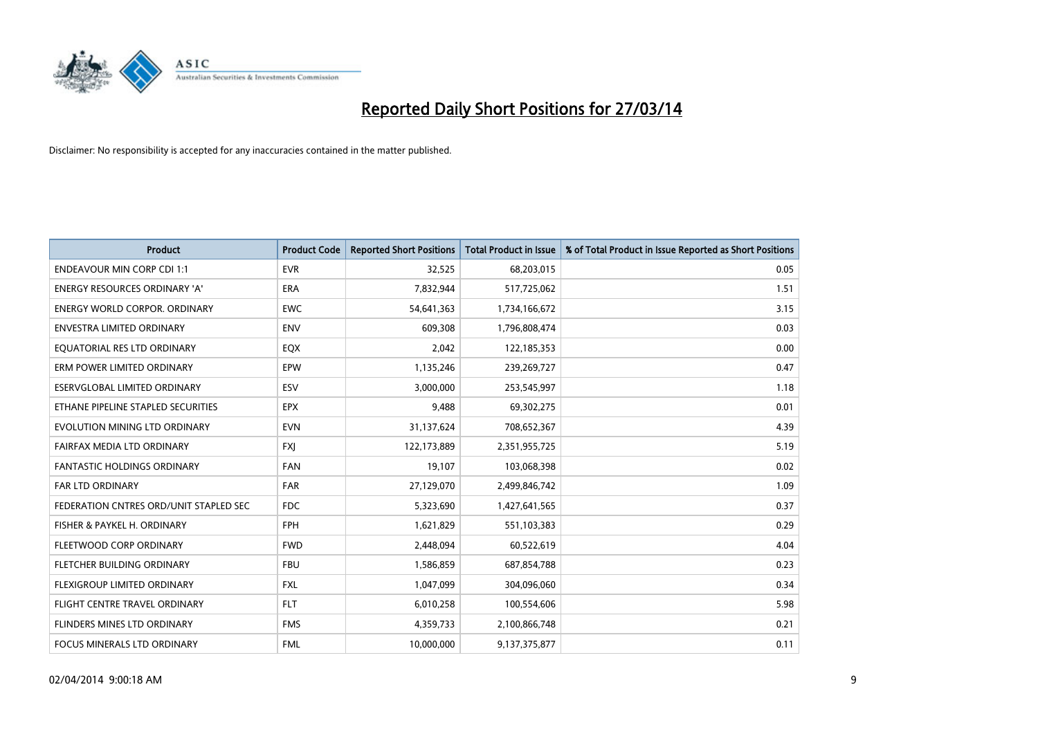

| <b>Product</b>                         | <b>Product Code</b> | <b>Reported Short Positions</b> | <b>Total Product in Issue</b> | % of Total Product in Issue Reported as Short Positions |
|----------------------------------------|---------------------|---------------------------------|-------------------------------|---------------------------------------------------------|
| <b>ENDEAVOUR MIN CORP CDI 1:1</b>      | <b>EVR</b>          | 32,525                          | 68,203,015                    | 0.05                                                    |
| ENERGY RESOURCES ORDINARY 'A'          | ERA                 | 7,832,944                       | 517,725,062                   | 1.51                                                    |
| <b>ENERGY WORLD CORPOR, ORDINARY</b>   | <b>EWC</b>          | 54,641,363                      | 1,734,166,672                 | 3.15                                                    |
| ENVESTRA LIMITED ORDINARY              | <b>ENV</b>          | 609,308                         | 1,796,808,474                 | 0.03                                                    |
| EQUATORIAL RES LTD ORDINARY            | EQX                 | 2,042                           | 122,185,353                   | 0.00                                                    |
| ERM POWER LIMITED ORDINARY             | EPW                 | 1,135,246                       | 239,269,727                   | 0.47                                                    |
| ESERVGLOBAL LIMITED ORDINARY           | ESV                 | 3,000,000                       | 253,545,997                   | 1.18                                                    |
| ETHANE PIPELINE STAPLED SECURITIES     | <b>EPX</b>          | 9,488                           | 69,302,275                    | 0.01                                                    |
| EVOLUTION MINING LTD ORDINARY          | <b>EVN</b>          | 31,137,624                      | 708,652,367                   | 4.39                                                    |
| FAIRFAX MEDIA LTD ORDINARY             | <b>FXI</b>          | 122,173,889                     | 2,351,955,725                 | 5.19                                                    |
| FANTASTIC HOLDINGS ORDINARY            | FAN                 | 19,107                          | 103,068,398                   | 0.02                                                    |
| <b>FAR LTD ORDINARY</b>                | <b>FAR</b>          | 27,129,070                      | 2,499,846,742                 | 1.09                                                    |
| FEDERATION CNTRES ORD/UNIT STAPLED SEC | FDC                 | 5,323,690                       | 1,427,641,565                 | 0.37                                                    |
| FISHER & PAYKEL H. ORDINARY            | FPH                 | 1,621,829                       | 551,103,383                   | 0.29                                                    |
| FLEETWOOD CORP ORDINARY                | <b>FWD</b>          | 2,448,094                       | 60,522,619                    | 4.04                                                    |
| FLETCHER BUILDING ORDINARY             | <b>FBU</b>          | 1,586,859                       | 687,854,788                   | 0.23                                                    |
| FLEXIGROUP LIMITED ORDINARY            | <b>FXL</b>          | 1,047,099                       | 304,096,060                   | 0.34                                                    |
| FLIGHT CENTRE TRAVEL ORDINARY          | <b>FLT</b>          | 6,010,258                       | 100,554,606                   | 5.98                                                    |
| FLINDERS MINES LTD ORDINARY            | <b>FMS</b>          | 4,359,733                       | 2,100,866,748                 | 0.21                                                    |
| FOCUS MINERALS LTD ORDINARY            | <b>FML</b>          | 10,000,000                      | 9,137,375,877                 | 0.11                                                    |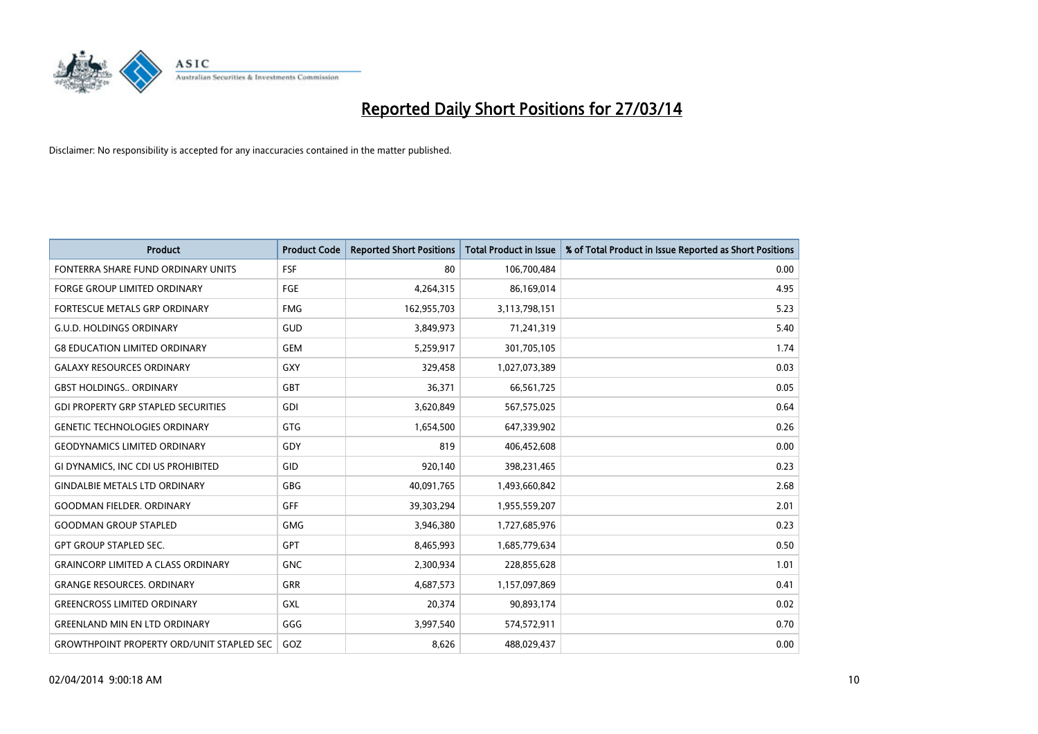

| <b>Product</b>                                   | <b>Product Code</b> | <b>Reported Short Positions</b> | <b>Total Product in Issue</b> | % of Total Product in Issue Reported as Short Positions |
|--------------------------------------------------|---------------------|---------------------------------|-------------------------------|---------------------------------------------------------|
| FONTERRA SHARE FUND ORDINARY UNITS               | <b>FSF</b>          | 80                              | 106,700,484                   | 0.00                                                    |
| FORGE GROUP LIMITED ORDINARY                     | FGE                 | 4,264,315                       | 86,169,014                    | 4.95                                                    |
| <b>FORTESCUE METALS GRP ORDINARY</b>             | <b>FMG</b>          | 162,955,703                     | 3,113,798,151                 | 5.23                                                    |
| <b>G.U.D. HOLDINGS ORDINARY</b>                  | GUD                 | 3,849,973                       | 71,241,319                    | 5.40                                                    |
| <b>G8 EDUCATION LIMITED ORDINARY</b>             | <b>GEM</b>          | 5,259,917                       | 301,705,105                   | 1.74                                                    |
| <b>GALAXY RESOURCES ORDINARY</b>                 | <b>GXY</b>          | 329,458                         | 1,027,073,389                 | 0.03                                                    |
| <b>GBST HOLDINGS ORDINARY</b>                    | <b>GBT</b>          | 36,371                          | 66,561,725                    | 0.05                                                    |
| <b>GDI PROPERTY GRP STAPLED SECURITIES</b>       | GDI                 | 3,620,849                       | 567,575,025                   | 0.64                                                    |
| <b>GENETIC TECHNOLOGIES ORDINARY</b>             | <b>GTG</b>          | 1,654,500                       | 647,339,902                   | 0.26                                                    |
| <b>GEODYNAMICS LIMITED ORDINARY</b>              | GDY                 | 819                             | 406,452,608                   | 0.00                                                    |
| GI DYNAMICS, INC CDI US PROHIBITED               | GID                 | 920,140                         | 398,231,465                   | 0.23                                                    |
| <b>GINDALBIE METALS LTD ORDINARY</b>             | GBG                 | 40,091,765                      | 1,493,660,842                 | 2.68                                                    |
| <b>GOODMAN FIELDER. ORDINARY</b>                 | GFF                 | 39,303,294                      | 1,955,559,207                 | 2.01                                                    |
| <b>GOODMAN GROUP STAPLED</b>                     | <b>GMG</b>          | 3,946,380                       | 1,727,685,976                 | 0.23                                                    |
| <b>GPT GROUP STAPLED SEC.</b>                    | <b>GPT</b>          | 8,465,993                       | 1,685,779,634                 | 0.50                                                    |
| <b>GRAINCORP LIMITED A CLASS ORDINARY</b>        | <b>GNC</b>          | 2,300,934                       | 228,855,628                   | 1.01                                                    |
| <b>GRANGE RESOURCES. ORDINARY</b>                | GRR                 | 4,687,573                       | 1,157,097,869                 | 0.41                                                    |
| <b>GREENCROSS LIMITED ORDINARY</b>               | <b>GXL</b>          | 20,374                          | 90,893,174                    | 0.02                                                    |
| <b>GREENLAND MIN EN LTD ORDINARY</b>             | GGG                 | 3,997,540                       | 574,572,911                   | 0.70                                                    |
| <b>GROWTHPOINT PROPERTY ORD/UNIT STAPLED SEC</b> | GOZ                 | 8,626                           | 488,029,437                   | 0.00                                                    |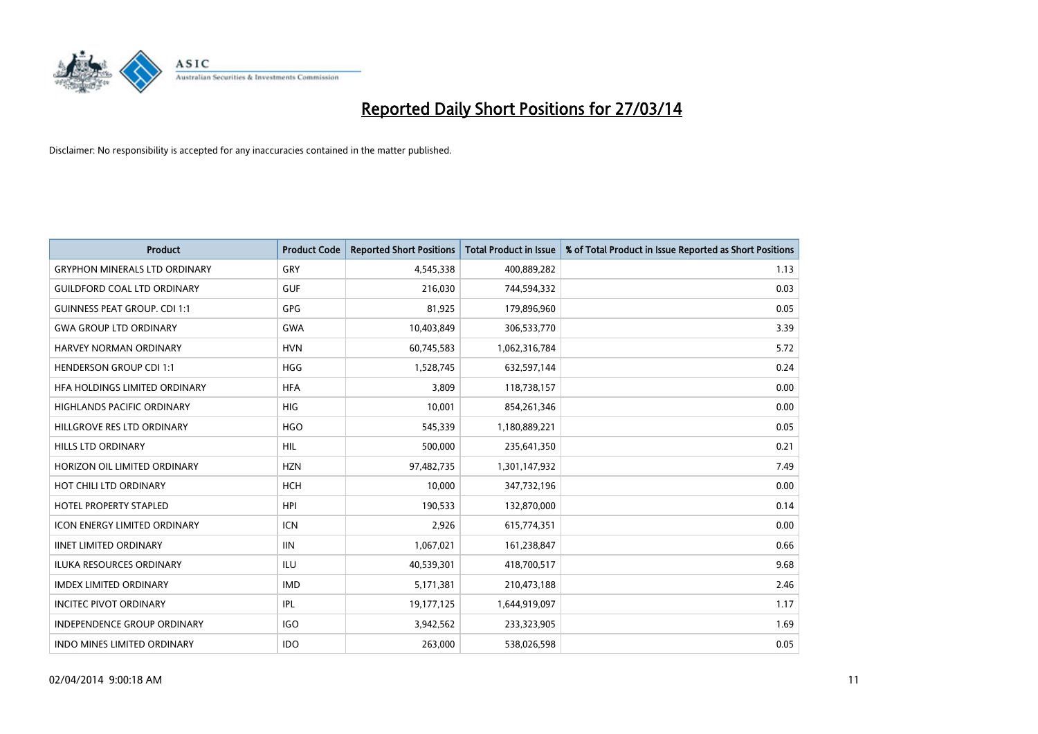

| <b>Product</b>                       | <b>Product Code</b> | <b>Reported Short Positions</b> | <b>Total Product in Issue</b> | % of Total Product in Issue Reported as Short Positions |
|--------------------------------------|---------------------|---------------------------------|-------------------------------|---------------------------------------------------------|
| <b>GRYPHON MINERALS LTD ORDINARY</b> | GRY                 | 4,545,338                       | 400,889,282                   | 1.13                                                    |
| <b>GUILDFORD COAL LTD ORDINARY</b>   | <b>GUF</b>          | 216,030                         | 744,594,332                   | 0.03                                                    |
| <b>GUINNESS PEAT GROUP. CDI 1:1</b>  | GPG                 | 81,925                          | 179,896,960                   | 0.05                                                    |
| <b>GWA GROUP LTD ORDINARY</b>        | <b>GWA</b>          | 10,403,849                      | 306,533,770                   | 3.39                                                    |
| <b>HARVEY NORMAN ORDINARY</b>        | <b>HVN</b>          | 60,745,583                      | 1,062,316,784                 | 5.72                                                    |
| <b>HENDERSON GROUP CDI 1:1</b>       | <b>HGG</b>          | 1,528,745                       | 632,597,144                   | 0.24                                                    |
| <b>HFA HOLDINGS LIMITED ORDINARY</b> | <b>HFA</b>          | 3,809                           | 118,738,157                   | 0.00                                                    |
| HIGHLANDS PACIFIC ORDINARY           | <b>HIG</b>          | 10,001                          | 854,261,346                   | 0.00                                                    |
| HILLGROVE RES LTD ORDINARY           | <b>HGO</b>          | 545,339                         | 1,180,889,221                 | 0.05                                                    |
| HILLS LTD ORDINARY                   | <b>HIL</b>          | 500,000                         | 235,641,350                   | 0.21                                                    |
| HORIZON OIL LIMITED ORDINARY         | <b>HZN</b>          | 97,482,735                      | 1,301,147,932                 | 7.49                                                    |
| HOT CHILI LTD ORDINARY               | <b>HCH</b>          | 10,000                          | 347,732,196                   | 0.00                                                    |
| <b>HOTEL PROPERTY STAPLED</b>        | <b>HPI</b>          | 190,533                         | 132,870,000                   | 0.14                                                    |
| <b>ICON ENERGY LIMITED ORDINARY</b>  | <b>ICN</b>          | 2,926                           | 615,774,351                   | 0.00                                                    |
| <b>IINET LIMITED ORDINARY</b>        | <b>IIN</b>          | 1,067,021                       | 161,238,847                   | 0.66                                                    |
| ILUKA RESOURCES ORDINARY             | ILU                 | 40,539,301                      | 418,700,517                   | 9.68                                                    |
| <b>IMDEX LIMITED ORDINARY</b>        | <b>IMD</b>          | 5,171,381                       | 210,473,188                   | 2.46                                                    |
| <b>INCITEC PIVOT ORDINARY</b>        | IPL                 | 19,177,125                      | 1,644,919,097                 | 1.17                                                    |
| <b>INDEPENDENCE GROUP ORDINARY</b>   | <b>IGO</b>          | 3,942,562                       | 233,323,905                   | 1.69                                                    |
| INDO MINES LIMITED ORDINARY          | <b>IDO</b>          | 263,000                         | 538,026,598                   | 0.05                                                    |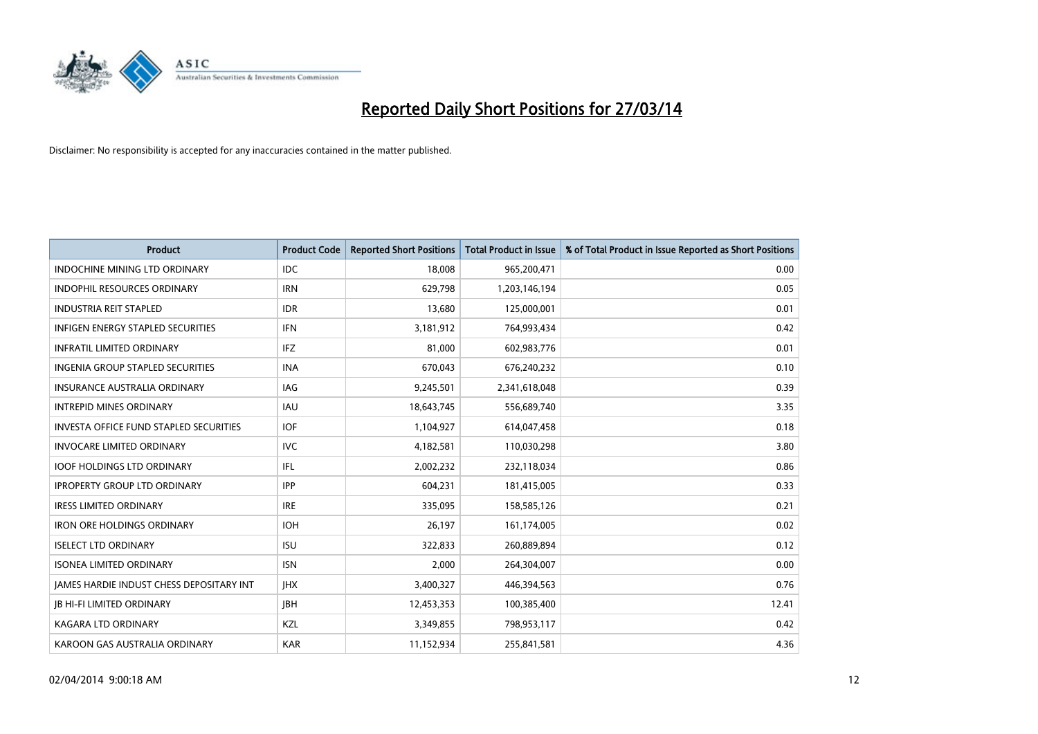

| <b>Product</b>                                  | <b>Product Code</b> | <b>Reported Short Positions</b> | <b>Total Product in Issue</b> | % of Total Product in Issue Reported as Short Positions |
|-------------------------------------------------|---------------------|---------------------------------|-------------------------------|---------------------------------------------------------|
| <b>INDOCHINE MINING LTD ORDINARY</b>            | <b>IDC</b>          | 18,008                          | 965,200,471                   | 0.00                                                    |
| INDOPHIL RESOURCES ORDINARY                     | <b>IRN</b>          | 629,798                         | 1,203,146,194                 | 0.05                                                    |
| <b>INDUSTRIA REIT STAPLED</b>                   | <b>IDR</b>          | 13,680                          | 125,000,001                   | 0.01                                                    |
| INFIGEN ENERGY STAPLED SECURITIES               | <b>IFN</b>          | 3,181,912                       | 764,993,434                   | 0.42                                                    |
| <b>INFRATIL LIMITED ORDINARY</b>                | <b>IFZ</b>          | 81,000                          | 602,983,776                   | 0.01                                                    |
| INGENIA GROUP STAPLED SECURITIES                | <b>INA</b>          | 670,043                         | 676,240,232                   | 0.10                                                    |
| <b>INSURANCE AUSTRALIA ORDINARY</b>             | IAG                 | 9,245,501                       | 2,341,618,048                 | 0.39                                                    |
| <b>INTREPID MINES ORDINARY</b>                  | IAU                 | 18,643,745                      | 556,689,740                   | 3.35                                                    |
| INVESTA OFFICE FUND STAPLED SECURITIES          | <b>IOF</b>          | 1,104,927                       | 614,047,458                   | 0.18                                                    |
| <b>INVOCARE LIMITED ORDINARY</b>                | <b>IVC</b>          | 4,182,581                       | 110,030,298                   | 3.80                                                    |
| <b>IOOF HOLDINGS LTD ORDINARY</b>               | IFL                 | 2,002,232                       | 232,118,034                   | 0.86                                                    |
| <b>IPROPERTY GROUP LTD ORDINARY</b>             | <b>IPP</b>          | 604,231                         | 181,415,005                   | 0.33                                                    |
| <b>IRESS LIMITED ORDINARY</b>                   | <b>IRE</b>          | 335,095                         | 158,585,126                   | 0.21                                                    |
| <b>IRON ORE HOLDINGS ORDINARY</b>               | <b>IOH</b>          | 26,197                          | 161,174,005                   | 0.02                                                    |
| <b>ISELECT LTD ORDINARY</b>                     | <b>ISU</b>          | 322,833                         | 260,889,894                   | 0.12                                                    |
| <b>ISONEA LIMITED ORDINARY</b>                  | <b>ISN</b>          | 2,000                           | 264,304,007                   | 0.00                                                    |
| <b>JAMES HARDIE INDUST CHESS DEPOSITARY INT</b> | <b>IHX</b>          | 3,400,327                       | 446,394,563                   | 0.76                                                    |
| <b>JB HI-FI LIMITED ORDINARY</b>                | JBH                 | 12,453,353                      | 100,385,400                   | 12.41                                                   |
| <b>KAGARA LTD ORDINARY</b>                      | KZL                 | 3,349,855                       | 798,953,117                   | 0.42                                                    |
| KAROON GAS AUSTRALIA ORDINARY                   | <b>KAR</b>          | 11,152,934                      | 255,841,581                   | 4.36                                                    |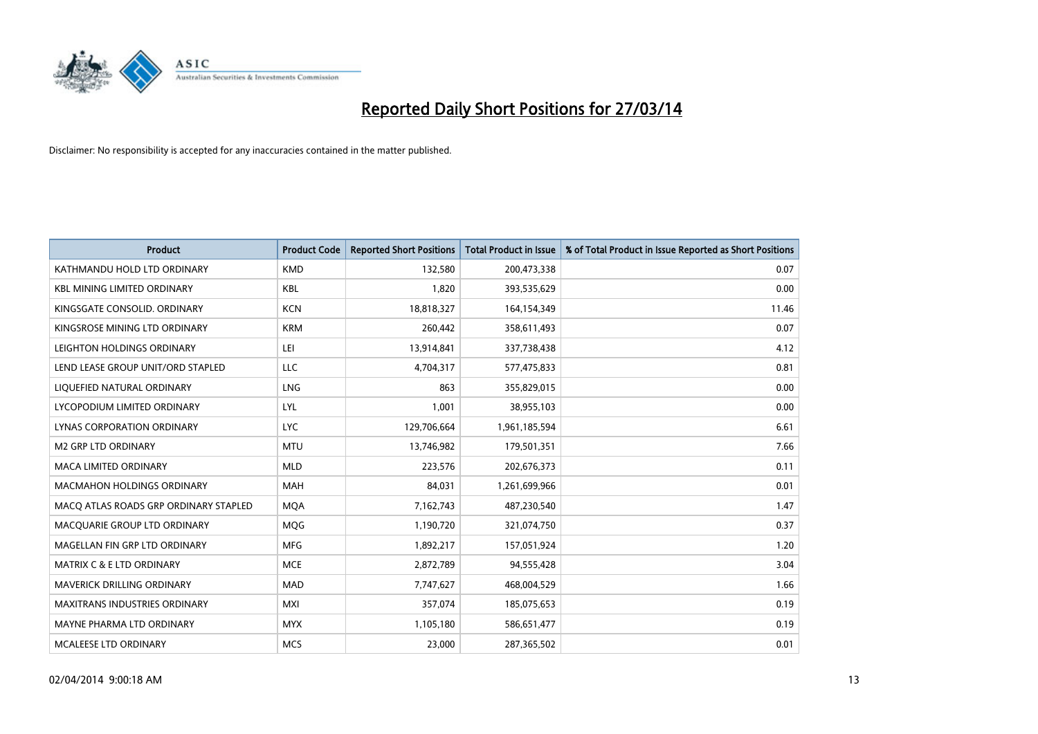

| <b>Product</b>                        | <b>Product Code</b> | <b>Reported Short Positions</b> | <b>Total Product in Issue</b> | % of Total Product in Issue Reported as Short Positions |
|---------------------------------------|---------------------|---------------------------------|-------------------------------|---------------------------------------------------------|
| KATHMANDU HOLD LTD ORDINARY           | <b>KMD</b>          | 132,580                         | 200,473,338                   | 0.07                                                    |
| <b>KBL MINING LIMITED ORDINARY</b>    | <b>KBL</b>          | 1,820                           | 393,535,629                   | 0.00                                                    |
| KINGSGATE CONSOLID. ORDINARY          | <b>KCN</b>          | 18,818,327                      | 164,154,349                   | 11.46                                                   |
| KINGSROSE MINING LTD ORDINARY         | <b>KRM</b>          | 260,442                         | 358,611,493                   | 0.07                                                    |
| LEIGHTON HOLDINGS ORDINARY            | LEI                 | 13,914,841                      | 337,738,438                   | 4.12                                                    |
| LEND LEASE GROUP UNIT/ORD STAPLED     | <b>LLC</b>          | 4,704,317                       | 577,475,833                   | 0.81                                                    |
| LIQUEFIED NATURAL ORDINARY            | <b>LNG</b>          | 863                             | 355,829,015                   | 0.00                                                    |
| LYCOPODIUM LIMITED ORDINARY           | LYL                 | 1,001                           | 38,955,103                    | 0.00                                                    |
| LYNAS CORPORATION ORDINARY            | <b>LYC</b>          | 129,706,664                     | 1,961,185,594                 | 6.61                                                    |
| <b>M2 GRP LTD ORDINARY</b>            | <b>MTU</b>          | 13,746,982                      | 179,501,351                   | 7.66                                                    |
| MACA LIMITED ORDINARY                 | <b>MLD</b>          | 223,576                         | 202,676,373                   | 0.11                                                    |
| MACMAHON HOLDINGS ORDINARY            | MAH                 | 84,031                          | 1,261,699,966                 | 0.01                                                    |
| MACO ATLAS ROADS GRP ORDINARY STAPLED | <b>MOA</b>          | 7,162,743                       | 487,230,540                   | 1.47                                                    |
| MACQUARIE GROUP LTD ORDINARY          | <b>MOG</b>          | 1,190,720                       | 321,074,750                   | 0.37                                                    |
| MAGELLAN FIN GRP LTD ORDINARY         | <b>MFG</b>          | 1,892,217                       | 157,051,924                   | 1.20                                                    |
| <b>MATRIX C &amp; E LTD ORDINARY</b>  | <b>MCE</b>          | 2,872,789                       | 94,555,428                    | 3.04                                                    |
| MAVERICK DRILLING ORDINARY            | <b>MAD</b>          | 7,747,627                       | 468,004,529                   | 1.66                                                    |
| <b>MAXITRANS INDUSTRIES ORDINARY</b>  | <b>MXI</b>          | 357,074                         | 185,075,653                   | 0.19                                                    |
| MAYNE PHARMA LTD ORDINARY             | <b>MYX</b>          | 1,105,180                       | 586,651,477                   | 0.19                                                    |
| MCALEESE LTD ORDINARY                 | <b>MCS</b>          | 23,000                          | 287,365,502                   | 0.01                                                    |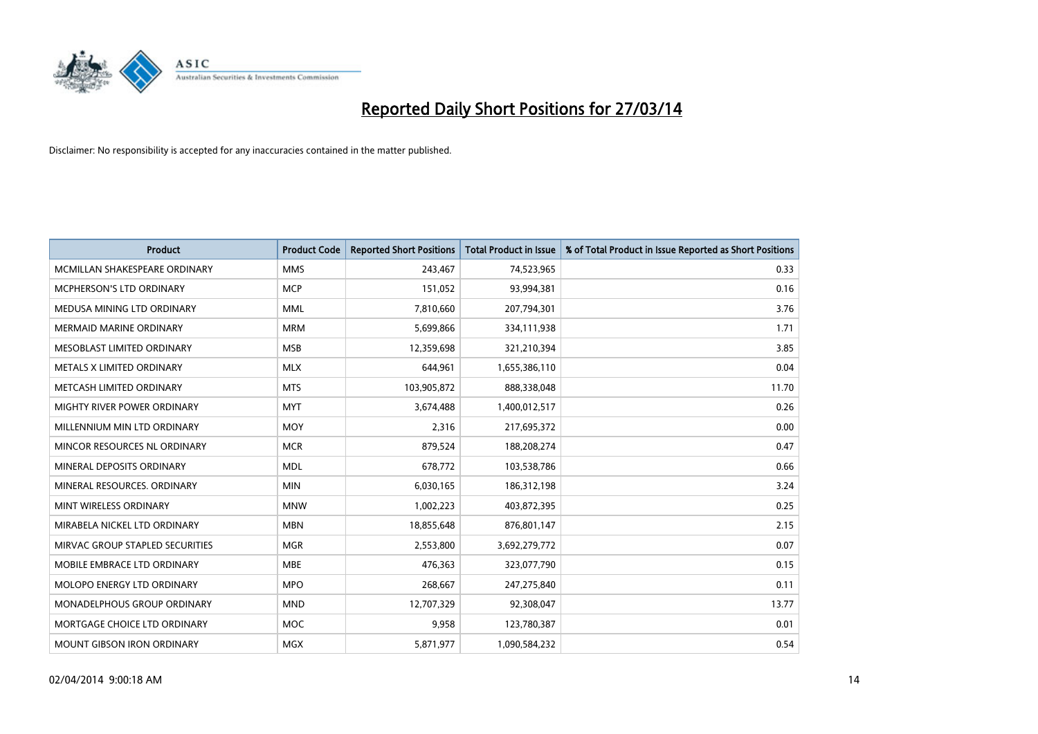

| <b>Product</b>                  | <b>Product Code</b> | <b>Reported Short Positions</b> | <b>Total Product in Issue</b> | % of Total Product in Issue Reported as Short Positions |
|---------------------------------|---------------------|---------------------------------|-------------------------------|---------------------------------------------------------|
| MCMILLAN SHAKESPEARE ORDINARY   | <b>MMS</b>          | 243,467                         | 74,523,965                    | 0.33                                                    |
| MCPHERSON'S LTD ORDINARY        | <b>MCP</b>          | 151,052                         | 93,994,381                    | 0.16                                                    |
| MEDUSA MINING LTD ORDINARY      | <b>MML</b>          | 7,810,660                       | 207,794,301                   | 3.76                                                    |
| <b>MERMAID MARINE ORDINARY</b>  | <b>MRM</b>          | 5,699,866                       | 334,111,938                   | 1.71                                                    |
| MESOBLAST LIMITED ORDINARY      | <b>MSB</b>          | 12,359,698                      | 321,210,394                   | 3.85                                                    |
| METALS X LIMITED ORDINARY       | <b>MLX</b>          | 644,961                         | 1,655,386,110                 | 0.04                                                    |
| METCASH LIMITED ORDINARY        | <b>MTS</b>          | 103,905,872                     | 888,338,048                   | 11.70                                                   |
| MIGHTY RIVER POWER ORDINARY     | <b>MYT</b>          | 3,674,488                       | 1,400,012,517                 | 0.26                                                    |
| MILLENNIUM MIN LTD ORDINARY     | <b>MOY</b>          | 2,316                           | 217,695,372                   | 0.00                                                    |
| MINCOR RESOURCES NL ORDINARY    | <b>MCR</b>          | 879,524                         | 188,208,274                   | 0.47                                                    |
| MINERAL DEPOSITS ORDINARY       | <b>MDL</b>          | 678,772                         | 103,538,786                   | 0.66                                                    |
| MINERAL RESOURCES. ORDINARY     | <b>MIN</b>          | 6,030,165                       | 186,312,198                   | 3.24                                                    |
| MINT WIRELESS ORDINARY          | <b>MNW</b>          | 1,002,223                       | 403,872,395                   | 0.25                                                    |
| MIRABELA NICKEL LTD ORDINARY    | <b>MBN</b>          | 18,855,648                      | 876,801,147                   | 2.15                                                    |
| MIRVAC GROUP STAPLED SECURITIES | <b>MGR</b>          | 2,553,800                       | 3,692,279,772                 | 0.07                                                    |
| MOBILE EMBRACE LTD ORDINARY     | <b>MBE</b>          | 476,363                         | 323,077,790                   | 0.15                                                    |
| MOLOPO ENERGY LTD ORDINARY      | <b>MPO</b>          | 268,667                         | 247,275,840                   | 0.11                                                    |
| MONADELPHOUS GROUP ORDINARY     | <b>MND</b>          | 12,707,329                      | 92,308,047                    | 13.77                                                   |
| MORTGAGE CHOICE LTD ORDINARY    | <b>MOC</b>          | 9,958                           | 123,780,387                   | 0.01                                                    |
| MOUNT GIBSON IRON ORDINARY      | MGX                 | 5,871,977                       | 1,090,584,232                 | 0.54                                                    |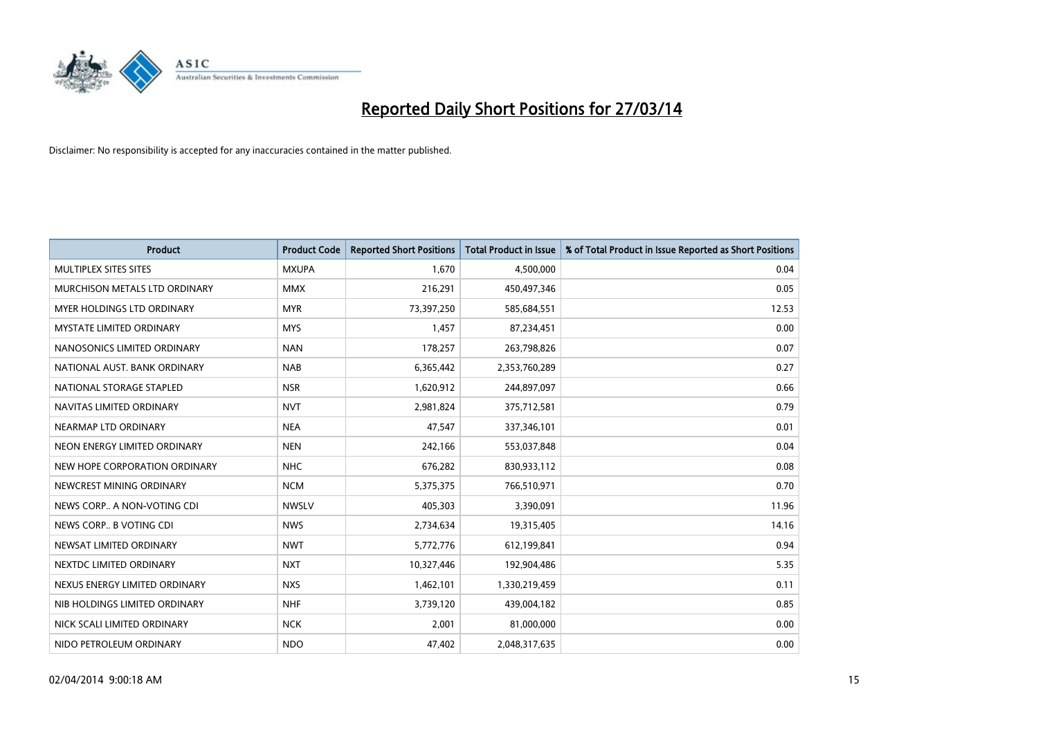

| <b>Product</b>                    | <b>Product Code</b> | <b>Reported Short Positions</b> | <b>Total Product in Issue</b> | % of Total Product in Issue Reported as Short Positions |
|-----------------------------------|---------------------|---------------------------------|-------------------------------|---------------------------------------------------------|
| MULTIPLEX SITES SITES             | <b>MXUPA</b>        | 1,670                           | 4,500,000                     | 0.04                                                    |
| MURCHISON METALS LTD ORDINARY     | <b>MMX</b>          | 216,291                         | 450,497,346                   | 0.05                                                    |
| <b>MYER HOLDINGS LTD ORDINARY</b> | <b>MYR</b>          | 73,397,250                      | 585,684,551                   | 12.53                                                   |
| MYSTATE LIMITED ORDINARY          | <b>MYS</b>          | 1,457                           | 87,234,451                    | 0.00                                                    |
| NANOSONICS LIMITED ORDINARY       | <b>NAN</b>          | 178,257                         | 263,798,826                   | 0.07                                                    |
| NATIONAL AUST, BANK ORDINARY      | <b>NAB</b>          | 6,365,442                       | 2,353,760,289                 | 0.27                                                    |
| NATIONAL STORAGE STAPLED          | <b>NSR</b>          | 1,620,912                       | 244,897,097                   | 0.66                                                    |
| NAVITAS LIMITED ORDINARY          | <b>NVT</b>          | 2,981,824                       | 375,712,581                   | 0.79                                                    |
| NEARMAP LTD ORDINARY              | <b>NEA</b>          | 47,547                          | 337,346,101                   | 0.01                                                    |
| NEON ENERGY LIMITED ORDINARY      | <b>NEN</b>          | 242,166                         | 553,037,848                   | 0.04                                                    |
| NEW HOPE CORPORATION ORDINARY     | <b>NHC</b>          | 676,282                         | 830,933,112                   | 0.08                                                    |
| NEWCREST MINING ORDINARY          | <b>NCM</b>          | 5,375,375                       | 766,510,971                   | 0.70                                                    |
| NEWS CORP A NON-VOTING CDI        | <b>NWSLV</b>        | 405,303                         | 3,390,091                     | 11.96                                                   |
| NEWS CORP B VOTING CDI            | <b>NWS</b>          | 2,734,634                       | 19,315,405                    | 14.16                                                   |
| NEWSAT LIMITED ORDINARY           | <b>NWT</b>          | 5,772,776                       | 612,199,841                   | 0.94                                                    |
| NEXTDC LIMITED ORDINARY           | <b>NXT</b>          | 10,327,446                      | 192,904,486                   | 5.35                                                    |
| NEXUS ENERGY LIMITED ORDINARY     | <b>NXS</b>          | 1,462,101                       | 1,330,219,459                 | 0.11                                                    |
| NIB HOLDINGS LIMITED ORDINARY     | <b>NHF</b>          | 3,739,120                       | 439,004,182                   | 0.85                                                    |
| NICK SCALI LIMITED ORDINARY       | <b>NCK</b>          | 2,001                           | 81,000,000                    | 0.00                                                    |
| NIDO PETROLEUM ORDINARY           | <b>NDO</b>          | 47,402                          | 2,048,317,635                 | 0.00                                                    |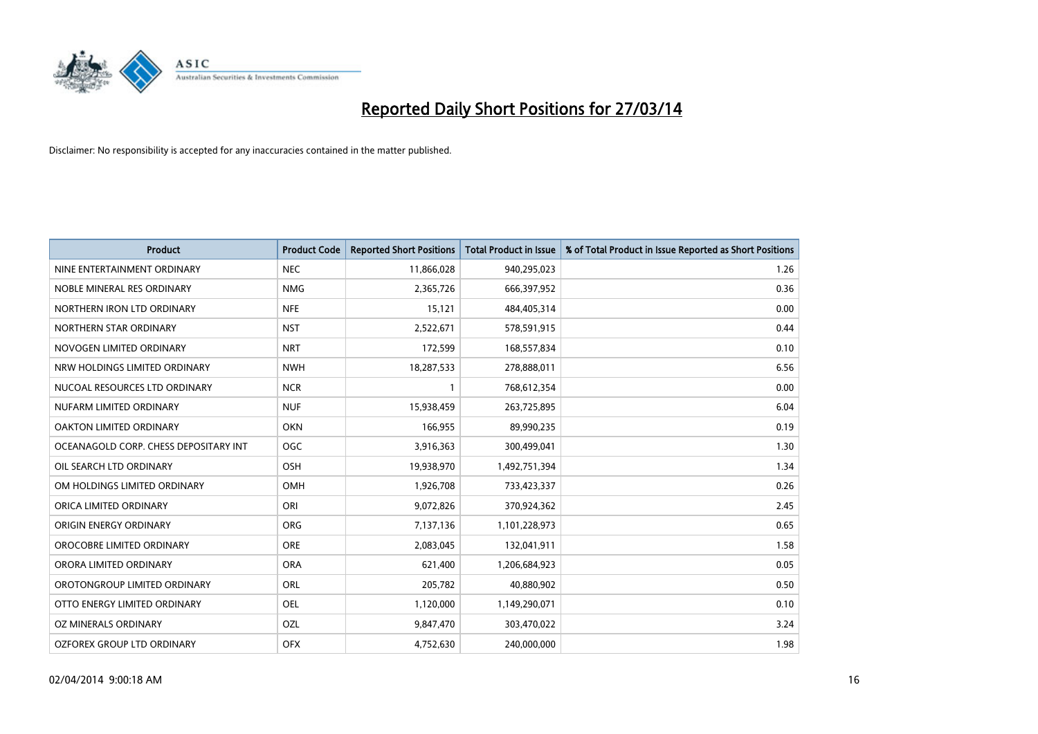

| <b>Product</b>                        | <b>Product Code</b> | <b>Reported Short Positions</b> | <b>Total Product in Issue</b> | % of Total Product in Issue Reported as Short Positions |
|---------------------------------------|---------------------|---------------------------------|-------------------------------|---------------------------------------------------------|
| NINE ENTERTAINMENT ORDINARY           | <b>NEC</b>          | 11,866,028                      | 940,295,023                   | 1.26                                                    |
| NOBLE MINERAL RES ORDINARY            | <b>NMG</b>          | 2,365,726                       | 666,397,952                   | 0.36                                                    |
| NORTHERN IRON LTD ORDINARY            | <b>NFE</b>          | 15,121                          | 484,405,314                   | 0.00                                                    |
| NORTHERN STAR ORDINARY                | <b>NST</b>          | 2,522,671                       | 578,591,915                   | 0.44                                                    |
| NOVOGEN LIMITED ORDINARY              | <b>NRT</b>          | 172,599                         | 168,557,834                   | 0.10                                                    |
| NRW HOLDINGS LIMITED ORDINARY         | <b>NWH</b>          | 18,287,533                      | 278,888,011                   | 6.56                                                    |
| NUCOAL RESOURCES LTD ORDINARY         | <b>NCR</b>          |                                 | 768,612,354                   | 0.00                                                    |
| NUFARM LIMITED ORDINARY               | <b>NUF</b>          | 15,938,459                      | 263,725,895                   | 6.04                                                    |
| OAKTON LIMITED ORDINARY               | <b>OKN</b>          | 166,955                         | 89,990,235                    | 0.19                                                    |
| OCEANAGOLD CORP. CHESS DEPOSITARY INT | <b>OGC</b>          | 3,916,363                       | 300,499,041                   | 1.30                                                    |
| OIL SEARCH LTD ORDINARY               | OSH                 | 19,938,970                      | 1,492,751,394                 | 1.34                                                    |
| OM HOLDINGS LIMITED ORDINARY          | OMH                 | 1,926,708                       | 733,423,337                   | 0.26                                                    |
| ORICA LIMITED ORDINARY                | ORI                 | 9,072,826                       | 370,924,362                   | 2.45                                                    |
| ORIGIN ENERGY ORDINARY                | ORG                 | 7,137,136                       | 1,101,228,973                 | 0.65                                                    |
| OROCOBRE LIMITED ORDINARY             | <b>ORE</b>          | 2,083,045                       | 132,041,911                   | 1.58                                                    |
| ORORA LIMITED ORDINARY                | <b>ORA</b>          | 621,400                         | 1,206,684,923                 | 0.05                                                    |
| OROTONGROUP LIMITED ORDINARY          | ORL                 | 205,782                         | 40,880,902                    | 0.50                                                    |
| OTTO ENERGY LIMITED ORDINARY          | <b>OEL</b>          | 1,120,000                       | 1,149,290,071                 | 0.10                                                    |
| OZ MINERALS ORDINARY                  | OZL                 | 9,847,470                       | 303,470,022                   | 3.24                                                    |
| OZFOREX GROUP LTD ORDINARY            | <b>OFX</b>          | 4,752,630                       | 240,000,000                   | 1.98                                                    |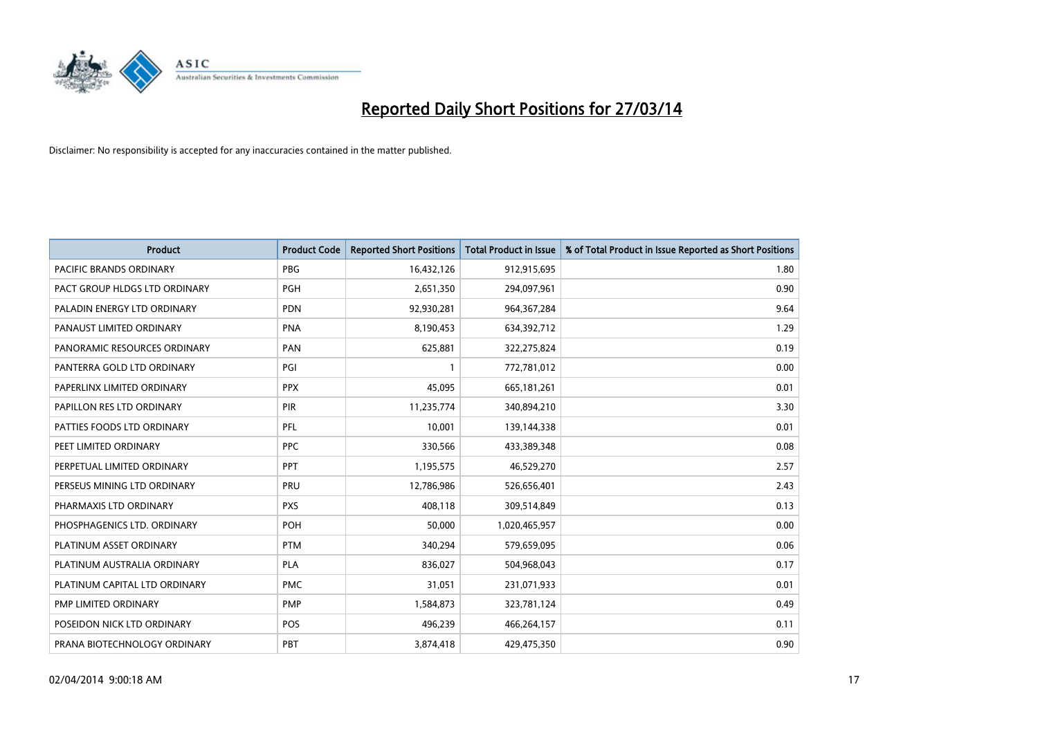

| <b>Product</b>                 | <b>Product Code</b> | <b>Reported Short Positions</b> | <b>Total Product in Issue</b> | % of Total Product in Issue Reported as Short Positions |
|--------------------------------|---------------------|---------------------------------|-------------------------------|---------------------------------------------------------|
| <b>PACIFIC BRANDS ORDINARY</b> | <b>PBG</b>          | 16,432,126                      | 912,915,695                   | 1.80                                                    |
| PACT GROUP HLDGS LTD ORDINARY  | <b>PGH</b>          | 2,651,350                       | 294,097,961                   | 0.90                                                    |
| PALADIN ENERGY LTD ORDINARY    | <b>PDN</b>          | 92,930,281                      | 964, 367, 284                 | 9.64                                                    |
| PANAUST LIMITED ORDINARY       | <b>PNA</b>          | 8,190,453                       | 634,392,712                   | 1.29                                                    |
| PANORAMIC RESOURCES ORDINARY   | PAN                 | 625,881                         | 322,275,824                   | 0.19                                                    |
| PANTERRA GOLD LTD ORDINARY     | PGI                 | $\mathbf{1}$                    | 772,781,012                   | 0.00                                                    |
| PAPERLINX LIMITED ORDINARY     | <b>PPX</b>          | 45,095                          | 665, 181, 261                 | 0.01                                                    |
| PAPILLON RES LTD ORDINARY      | <b>PIR</b>          | 11,235,774                      | 340,894,210                   | 3.30                                                    |
| PATTIES FOODS LTD ORDINARY     | PFL                 | 10.001                          | 139,144,338                   | 0.01                                                    |
| PEET LIMITED ORDINARY          | <b>PPC</b>          | 330,566                         | 433,389,348                   | 0.08                                                    |
| PERPETUAL LIMITED ORDINARY     | PPT                 | 1,195,575                       | 46,529,270                    | 2.57                                                    |
| PERSEUS MINING LTD ORDINARY    | PRU                 | 12,786,986                      | 526,656,401                   | 2.43                                                    |
| PHARMAXIS LTD ORDINARY         | <b>PXS</b>          | 408,118                         | 309,514,849                   | 0.13                                                    |
| PHOSPHAGENICS LTD. ORDINARY    | POH                 | 50,000                          | 1,020,465,957                 | 0.00                                                    |
| PLATINUM ASSET ORDINARY        | <b>PTM</b>          | 340,294                         | 579,659,095                   | 0.06                                                    |
| PLATINUM AUSTRALIA ORDINARY    | <b>PLA</b>          | 836,027                         | 504,968,043                   | 0.17                                                    |
| PLATINUM CAPITAL LTD ORDINARY  | <b>PMC</b>          | 31,051                          | 231,071,933                   | 0.01                                                    |
| PMP LIMITED ORDINARY           | <b>PMP</b>          | 1,584,873                       | 323,781,124                   | 0.49                                                    |
| POSEIDON NICK LTD ORDINARY     | <b>POS</b>          | 496,239                         | 466,264,157                   | 0.11                                                    |
| PRANA BIOTECHNOLOGY ORDINARY   | PBT                 | 3,874,418                       | 429,475,350                   | 0.90                                                    |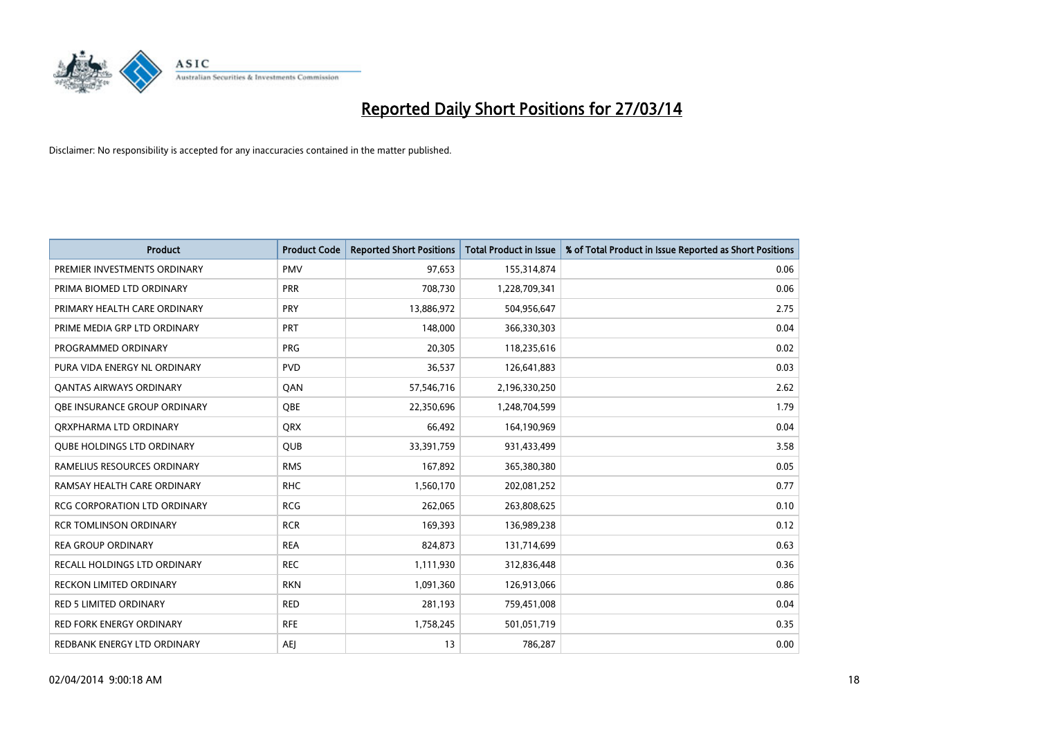

| <b>Product</b>                    | <b>Product Code</b> | <b>Reported Short Positions</b> | <b>Total Product in Issue</b> | % of Total Product in Issue Reported as Short Positions |
|-----------------------------------|---------------------|---------------------------------|-------------------------------|---------------------------------------------------------|
| PREMIER INVESTMENTS ORDINARY      | <b>PMV</b>          | 97,653                          | 155,314,874                   | 0.06                                                    |
| PRIMA BIOMED LTD ORDINARY         | <b>PRR</b>          | 708,730                         | 1,228,709,341                 | 0.06                                                    |
| PRIMARY HEALTH CARE ORDINARY      | <b>PRY</b>          | 13,886,972                      | 504,956,647                   | 2.75                                                    |
| PRIME MEDIA GRP LTD ORDINARY      | <b>PRT</b>          | 148,000                         | 366,330,303                   | 0.04                                                    |
| PROGRAMMED ORDINARY               | <b>PRG</b>          | 20,305                          | 118,235,616                   | 0.02                                                    |
| PURA VIDA ENERGY NL ORDINARY      | <b>PVD</b>          | 36,537                          | 126,641,883                   | 0.03                                                    |
| <b>QANTAS AIRWAYS ORDINARY</b>    | QAN                 | 57,546,716                      | 2,196,330,250                 | 2.62                                                    |
| OBE INSURANCE GROUP ORDINARY      | QBE                 | 22,350,696                      | 1,248,704,599                 | 1.79                                                    |
| ORXPHARMA LTD ORDINARY            | <b>QRX</b>          | 66,492                          | 164,190,969                   | 0.04                                                    |
| <b>QUBE HOLDINGS LTD ORDINARY</b> | <b>QUB</b>          | 33,391,759                      | 931,433,499                   | 3.58                                                    |
| RAMELIUS RESOURCES ORDINARY       | <b>RMS</b>          | 167,892                         | 365,380,380                   | 0.05                                                    |
| RAMSAY HEALTH CARE ORDINARY       | <b>RHC</b>          | 1,560,170                       | 202,081,252                   | 0.77                                                    |
| RCG CORPORATION LTD ORDINARY      | <b>RCG</b>          | 262,065                         | 263,808,625                   | 0.10                                                    |
| <b>RCR TOMLINSON ORDINARY</b>     | <b>RCR</b>          | 169,393                         | 136,989,238                   | 0.12                                                    |
| <b>REA GROUP ORDINARY</b>         | <b>REA</b>          | 824,873                         | 131,714,699                   | 0.63                                                    |
| RECALL HOLDINGS LTD ORDINARY      | <b>REC</b>          | 1,111,930                       | 312,836,448                   | 0.36                                                    |
| <b>RECKON LIMITED ORDINARY</b>    | <b>RKN</b>          | 1,091,360                       | 126,913,066                   | 0.86                                                    |
| RED 5 LIMITED ORDINARY            | <b>RED</b>          | 281,193                         | 759,451,008                   | 0.04                                                    |
| <b>RED FORK ENERGY ORDINARY</b>   | <b>RFE</b>          | 1,758,245                       | 501,051,719                   | 0.35                                                    |
| REDBANK ENERGY LTD ORDINARY       | <b>AEJ</b>          | 13                              | 786,287                       | 0.00                                                    |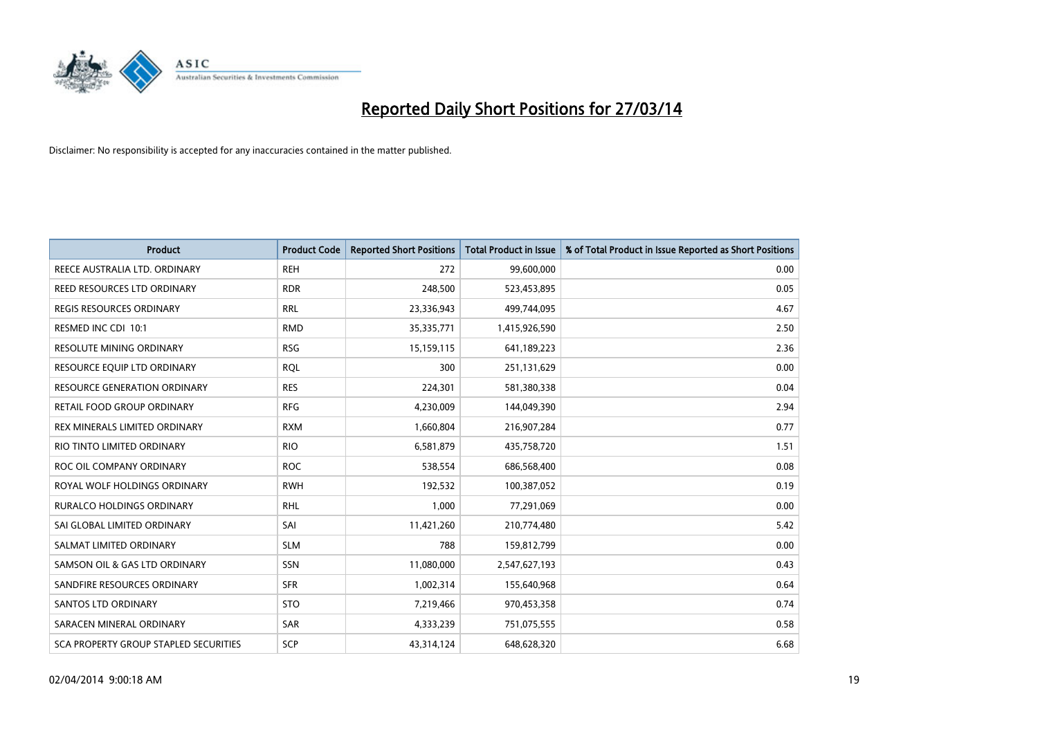

| <b>Product</b>                        | <b>Product Code</b> | <b>Reported Short Positions</b> | <b>Total Product in Issue</b> | % of Total Product in Issue Reported as Short Positions |
|---------------------------------------|---------------------|---------------------------------|-------------------------------|---------------------------------------------------------|
| REECE AUSTRALIA LTD. ORDINARY         | <b>REH</b>          | 272                             | 99,600,000                    | 0.00                                                    |
| REED RESOURCES LTD ORDINARY           | <b>RDR</b>          | 248,500                         | 523,453,895                   | 0.05                                                    |
| <b>REGIS RESOURCES ORDINARY</b>       | <b>RRL</b>          | 23,336,943                      | 499,744,095                   | 4.67                                                    |
| RESMED INC CDI 10:1                   | <b>RMD</b>          | 35,335,771                      | 1,415,926,590                 | 2.50                                                    |
| <b>RESOLUTE MINING ORDINARY</b>       | <b>RSG</b>          | 15,159,115                      | 641,189,223                   | 2.36                                                    |
| RESOURCE EQUIP LTD ORDINARY           | <b>RQL</b>          | 300                             | 251,131,629                   | 0.00                                                    |
| <b>RESOURCE GENERATION ORDINARY</b>   | <b>RES</b>          | 224,301                         | 581,380,338                   | 0.04                                                    |
| RETAIL FOOD GROUP ORDINARY            | <b>RFG</b>          | 4,230,009                       | 144,049,390                   | 2.94                                                    |
| REX MINERALS LIMITED ORDINARY         | <b>RXM</b>          | 1,660,804                       | 216,907,284                   | 0.77                                                    |
| RIO TINTO LIMITED ORDINARY            | <b>RIO</b>          | 6,581,879                       | 435,758,720                   | 1.51                                                    |
| ROC OIL COMPANY ORDINARY              | <b>ROC</b>          | 538,554                         | 686,568,400                   | 0.08                                                    |
| ROYAL WOLF HOLDINGS ORDINARY          | <b>RWH</b>          | 192,532                         | 100,387,052                   | 0.19                                                    |
| RURALCO HOLDINGS ORDINARY             | <b>RHL</b>          | 1,000                           | 77,291,069                    | 0.00                                                    |
| SAI GLOBAL LIMITED ORDINARY           | SAI                 | 11,421,260                      | 210,774,480                   | 5.42                                                    |
| SALMAT LIMITED ORDINARY               | <b>SLM</b>          | 788                             | 159,812,799                   | 0.00                                                    |
| SAMSON OIL & GAS LTD ORDINARY         | SSN                 | 11,080,000                      | 2,547,627,193                 | 0.43                                                    |
| SANDFIRE RESOURCES ORDINARY           | <b>SFR</b>          | 1,002,314                       | 155,640,968                   | 0.64                                                    |
| SANTOS LTD ORDINARY                   | <b>STO</b>          | 7,219,466                       | 970,453,358                   | 0.74                                                    |
| SARACEN MINERAL ORDINARY              | <b>SAR</b>          | 4,333,239                       | 751,075,555                   | 0.58                                                    |
| SCA PROPERTY GROUP STAPLED SECURITIES | SCP                 | 43,314,124                      | 648,628,320                   | 6.68                                                    |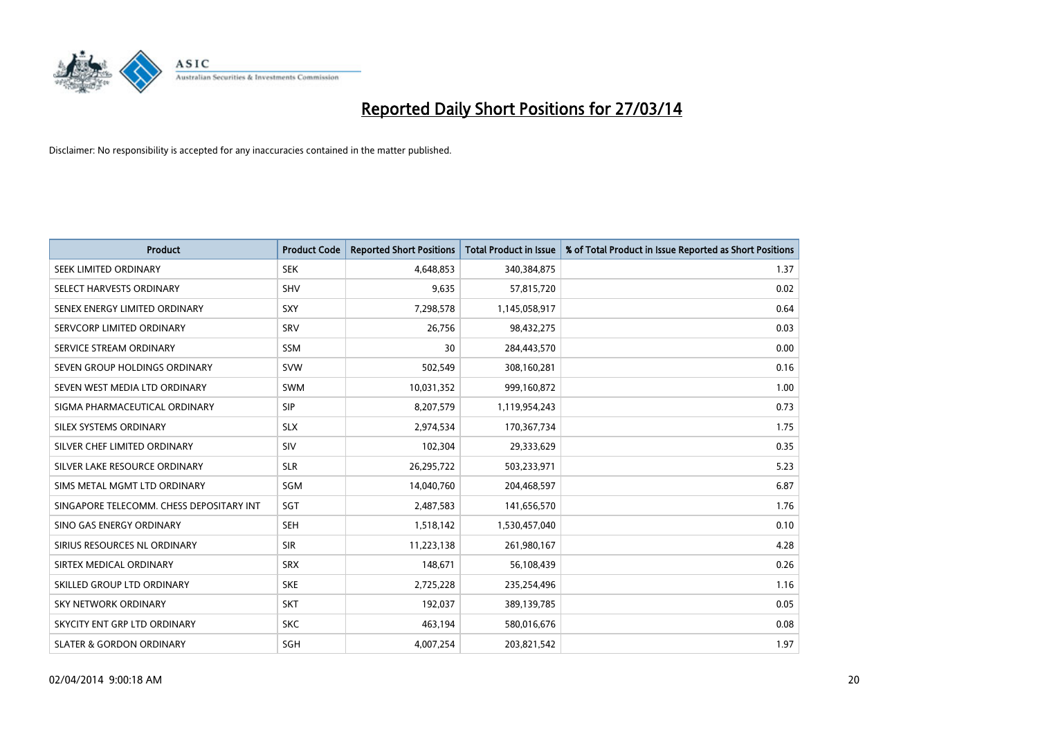

| <b>Product</b>                           | <b>Product Code</b> | <b>Reported Short Positions</b> | <b>Total Product in Issue</b> | % of Total Product in Issue Reported as Short Positions |
|------------------------------------------|---------------------|---------------------------------|-------------------------------|---------------------------------------------------------|
| SEEK LIMITED ORDINARY                    | <b>SEK</b>          | 4,648,853                       | 340,384,875                   | 1.37                                                    |
| SELECT HARVESTS ORDINARY                 | SHV                 | 9,635                           | 57,815,720                    | 0.02                                                    |
| SENEX ENERGY LIMITED ORDINARY            | <b>SXY</b>          | 7,298,578                       | 1,145,058,917                 | 0.64                                                    |
| SERVCORP LIMITED ORDINARY                | SRV                 | 26,756                          | 98,432,275                    | 0.03                                                    |
| SERVICE STREAM ORDINARY                  | SSM                 | 30                              | 284,443,570                   | 0.00                                                    |
| SEVEN GROUP HOLDINGS ORDINARY            | <b>SVW</b>          | 502,549                         | 308,160,281                   | 0.16                                                    |
| SEVEN WEST MEDIA LTD ORDINARY            | <b>SWM</b>          | 10,031,352                      | 999,160,872                   | 1.00                                                    |
| SIGMA PHARMACEUTICAL ORDINARY            | <b>SIP</b>          | 8,207,579                       | 1,119,954,243                 | 0.73                                                    |
| SILEX SYSTEMS ORDINARY                   | <b>SLX</b>          | 2,974,534                       | 170,367,734                   | 1.75                                                    |
| SILVER CHEF LIMITED ORDINARY             | SIV                 | 102,304                         | 29,333,629                    | 0.35                                                    |
| SILVER LAKE RESOURCE ORDINARY            | <b>SLR</b>          | 26,295,722                      | 503,233,971                   | 5.23                                                    |
| SIMS METAL MGMT LTD ORDINARY             | SGM                 | 14,040,760                      | 204,468,597                   | 6.87                                                    |
| SINGAPORE TELECOMM. CHESS DEPOSITARY INT | SGT                 | 2,487,583                       | 141,656,570                   | 1.76                                                    |
| SINO GAS ENERGY ORDINARY                 | <b>SEH</b>          | 1,518,142                       | 1,530,457,040                 | 0.10                                                    |
| SIRIUS RESOURCES NL ORDINARY             | <b>SIR</b>          | 11,223,138                      | 261,980,167                   | 4.28                                                    |
| SIRTEX MEDICAL ORDINARY                  | <b>SRX</b>          | 148,671                         | 56,108,439                    | 0.26                                                    |
| SKILLED GROUP LTD ORDINARY               | <b>SKE</b>          | 2,725,228                       | 235,254,496                   | 1.16                                                    |
| <b>SKY NETWORK ORDINARY</b>              | <b>SKT</b>          | 192,037                         | 389,139,785                   | 0.05                                                    |
| SKYCITY ENT GRP LTD ORDINARY             | <b>SKC</b>          | 463,194                         | 580,016,676                   | 0.08                                                    |
| <b>SLATER &amp; GORDON ORDINARY</b>      | SGH                 | 4,007,254                       | 203,821,542                   | 1.97                                                    |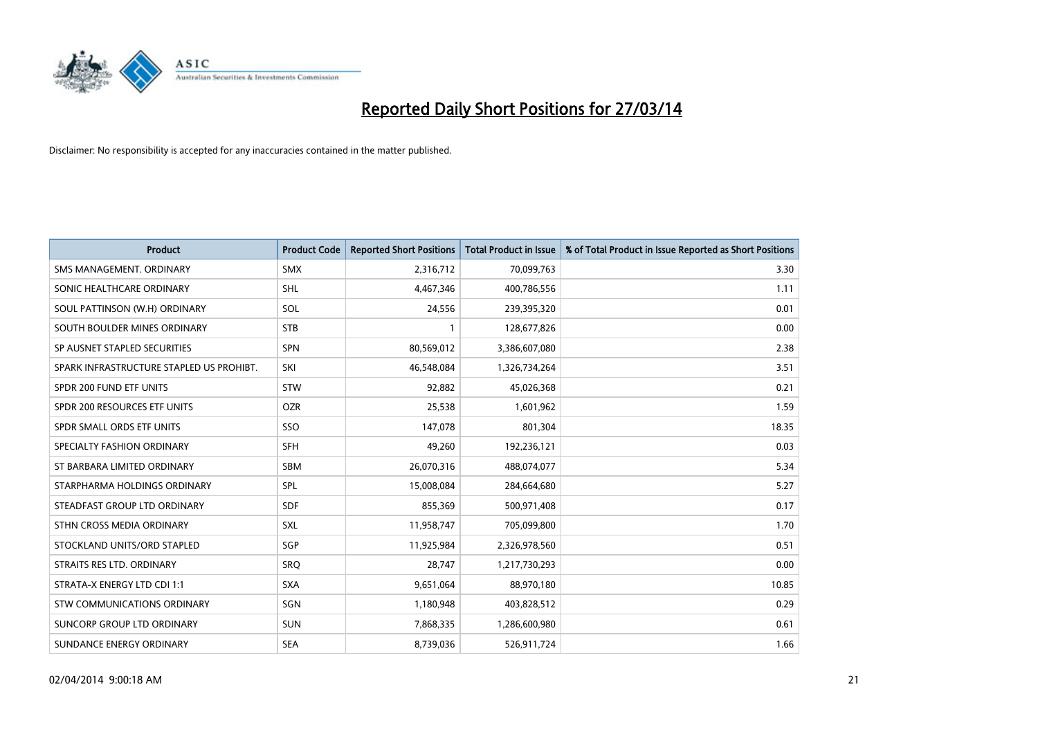

| <b>Product</b>                           | <b>Product Code</b> | <b>Reported Short Positions</b> | <b>Total Product in Issue</b> | % of Total Product in Issue Reported as Short Positions |
|------------------------------------------|---------------------|---------------------------------|-------------------------------|---------------------------------------------------------|
| SMS MANAGEMENT, ORDINARY                 | <b>SMX</b>          | 2,316,712                       | 70,099,763                    | 3.30                                                    |
| SONIC HEALTHCARE ORDINARY                | <b>SHL</b>          | 4,467,346                       | 400,786,556                   | 1.11                                                    |
| SOUL PATTINSON (W.H) ORDINARY            | <b>SOL</b>          | 24,556                          | 239,395,320                   | 0.01                                                    |
| SOUTH BOULDER MINES ORDINARY             | <b>STB</b>          | 1                               | 128,677,826                   | 0.00                                                    |
| SP AUSNET STAPLED SECURITIES             | SPN                 | 80,569,012                      | 3,386,607,080                 | 2.38                                                    |
| SPARK INFRASTRUCTURE STAPLED US PROHIBT. | SKI                 | 46,548,084                      | 1,326,734,264                 | 3.51                                                    |
| SPDR 200 FUND ETF UNITS                  | <b>STW</b>          | 92.882                          | 45,026,368                    | 0.21                                                    |
| SPDR 200 RESOURCES ETF UNITS             | <b>OZR</b>          | 25,538                          | 1,601,962                     | 1.59                                                    |
| SPDR SMALL ORDS ETF UNITS                | SSO                 | 147,078                         | 801,304                       | 18.35                                                   |
| SPECIALTY FASHION ORDINARY               | SFH                 | 49,260                          | 192,236,121                   | 0.03                                                    |
| ST BARBARA LIMITED ORDINARY              | SBM                 | 26,070,316                      | 488,074,077                   | 5.34                                                    |
| STARPHARMA HOLDINGS ORDINARY             | <b>SPL</b>          | 15,008,084                      | 284,664,680                   | 5.27                                                    |
| STEADFAST GROUP LTD ORDINARY             | <b>SDF</b>          | 855,369                         | 500,971,408                   | 0.17                                                    |
| STHN CROSS MEDIA ORDINARY                | <b>SXL</b>          | 11,958,747                      | 705,099,800                   | 1.70                                                    |
| STOCKLAND UNITS/ORD STAPLED              | SGP                 | 11,925,984                      | 2,326,978,560                 | 0.51                                                    |
| STRAITS RES LTD. ORDINARY                | SRO                 | 28,747                          | 1,217,730,293                 | 0.00                                                    |
| STRATA-X ENERGY LTD CDI 1:1              | <b>SXA</b>          | 9,651,064                       | 88,970,180                    | 10.85                                                   |
| STW COMMUNICATIONS ORDINARY              | SGN                 | 1,180,948                       | 403,828,512                   | 0.29                                                    |
| SUNCORP GROUP LTD ORDINARY               | <b>SUN</b>          | 7,868,335                       | 1,286,600,980                 | 0.61                                                    |
| SUNDANCE ENERGY ORDINARY                 | <b>SEA</b>          | 8,739,036                       | 526,911,724                   | 1.66                                                    |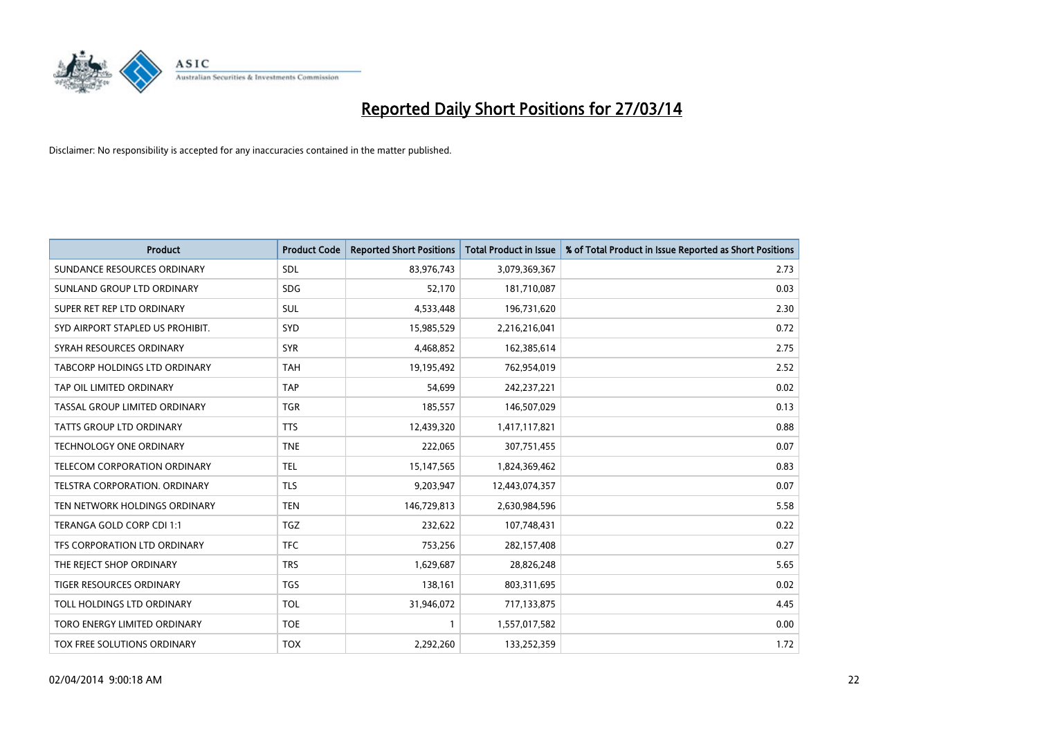

| <b>Product</b>                       | <b>Product Code</b> | <b>Reported Short Positions</b> | Total Product in Issue | % of Total Product in Issue Reported as Short Positions |
|--------------------------------------|---------------------|---------------------------------|------------------------|---------------------------------------------------------|
| SUNDANCE RESOURCES ORDINARY          | SDL                 | 83,976,743                      | 3,079,369,367          | 2.73                                                    |
| SUNLAND GROUP LTD ORDINARY           | <b>SDG</b>          | 52,170                          | 181,710,087            | 0.03                                                    |
| SUPER RET REP LTD ORDINARY           | <b>SUL</b>          | 4,533,448                       | 196,731,620            | 2.30                                                    |
| SYD AIRPORT STAPLED US PROHIBIT.     | SYD                 | 15,985,529                      | 2,216,216,041          | 0.72                                                    |
| SYRAH RESOURCES ORDINARY             | <b>SYR</b>          | 4,468,852                       | 162,385,614            | 2.75                                                    |
| TABCORP HOLDINGS LTD ORDINARY        | <b>TAH</b>          | 19,195,492                      | 762,954,019            | 2.52                                                    |
| TAP OIL LIMITED ORDINARY             | <b>TAP</b>          | 54.699                          | 242,237,221            | 0.02                                                    |
| TASSAL GROUP LIMITED ORDINARY        | <b>TGR</b>          | 185,557                         | 146,507,029            | 0.13                                                    |
| <b>TATTS GROUP LTD ORDINARY</b>      | <b>TTS</b>          | 12,439,320                      | 1,417,117,821          | 0.88                                                    |
| <b>TECHNOLOGY ONE ORDINARY</b>       | <b>TNE</b>          | 222,065                         | 307,751,455            | 0.07                                                    |
| TELECOM CORPORATION ORDINARY         | <b>TEL</b>          | 15,147,565                      | 1,824,369,462          | 0.83                                                    |
| <b>TELSTRA CORPORATION, ORDINARY</b> | TLS                 | 9,203,947                       | 12,443,074,357         | 0.07                                                    |
| TEN NETWORK HOLDINGS ORDINARY        | <b>TEN</b>          | 146,729,813                     | 2,630,984,596          | 5.58                                                    |
| TERANGA GOLD CORP CDI 1:1            | <b>TGZ</b>          | 232,622                         | 107,748,431            | 0.22                                                    |
| TFS CORPORATION LTD ORDINARY         | <b>TFC</b>          | 753,256                         | 282,157,408            | 0.27                                                    |
| THE REJECT SHOP ORDINARY             | <b>TRS</b>          | 1,629,687                       | 28,826,248             | 5.65                                                    |
| TIGER RESOURCES ORDINARY             | <b>TGS</b>          | 138,161                         | 803,311,695            | 0.02                                                    |
| TOLL HOLDINGS LTD ORDINARY           | <b>TOL</b>          | 31,946,072                      | 717,133,875            | 4.45                                                    |
| TORO ENERGY LIMITED ORDINARY         | <b>TOE</b>          | $\mathbf{1}$                    | 1,557,017,582          | 0.00                                                    |
| TOX FREE SOLUTIONS ORDINARY          | <b>TOX</b>          | 2,292,260                       | 133,252,359            | 1.72                                                    |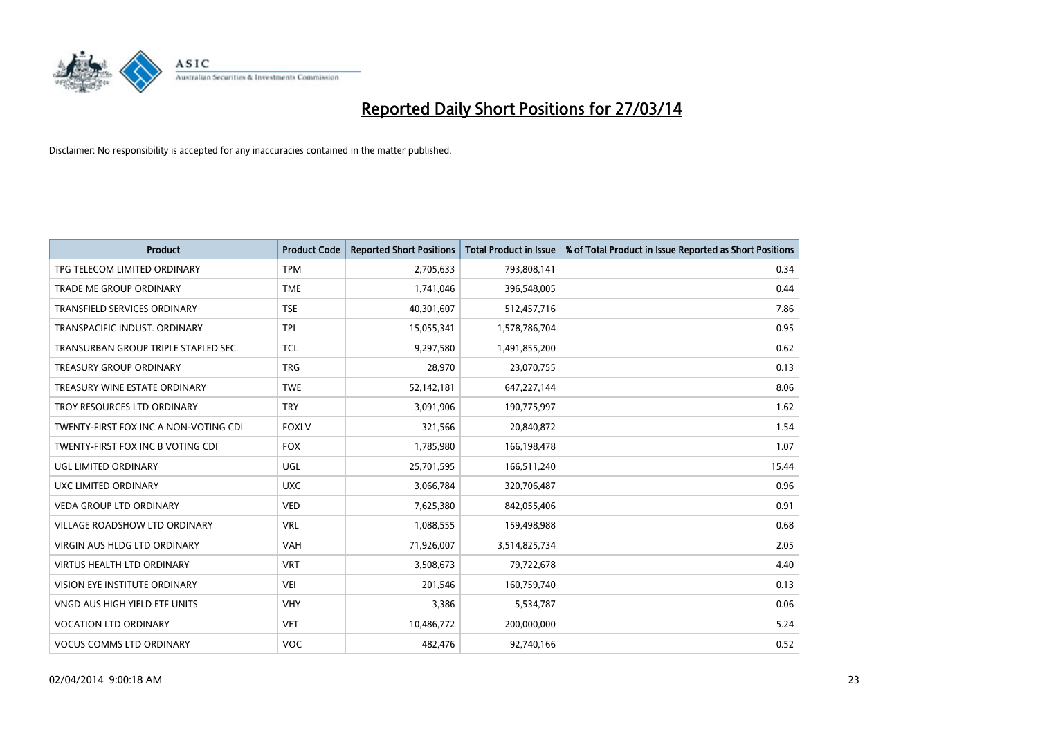

| <b>Product</b>                        | <b>Product Code</b> | <b>Reported Short Positions</b> | <b>Total Product in Issue</b> | % of Total Product in Issue Reported as Short Positions |
|---------------------------------------|---------------------|---------------------------------|-------------------------------|---------------------------------------------------------|
| TPG TELECOM LIMITED ORDINARY          | <b>TPM</b>          | 2,705,633                       | 793,808,141                   | 0.34                                                    |
| TRADE ME GROUP ORDINARY               | <b>TME</b>          | 1,741,046                       | 396,548,005                   | 0.44                                                    |
| <b>TRANSFIELD SERVICES ORDINARY</b>   | <b>TSE</b>          | 40,301,607                      | 512,457,716                   | 7.86                                                    |
| TRANSPACIFIC INDUST. ORDINARY         | <b>TPI</b>          | 15,055,341                      | 1,578,786,704                 | 0.95                                                    |
| TRANSURBAN GROUP TRIPLE STAPLED SEC.  | <b>TCL</b>          | 9,297,580                       | 1,491,855,200                 | 0.62                                                    |
| <b>TREASURY GROUP ORDINARY</b>        | <b>TRG</b>          | 28,970                          | 23,070,755                    | 0.13                                                    |
| TREASURY WINE ESTATE ORDINARY         | <b>TWE</b>          | 52,142,181                      | 647,227,144                   | 8.06                                                    |
| TROY RESOURCES LTD ORDINARY           | <b>TRY</b>          | 3,091,906                       | 190,775,997                   | 1.62                                                    |
| TWENTY-FIRST FOX INC A NON-VOTING CDI | <b>FOXLV</b>        | 321,566                         | 20,840,872                    | 1.54                                                    |
| TWENTY-FIRST FOX INC B VOTING CDI     | <b>FOX</b>          | 1,785,980                       | 166,198,478                   | 1.07                                                    |
| UGL LIMITED ORDINARY                  | UGL                 | 25,701,595                      | 166,511,240                   | 15.44                                                   |
| UXC LIMITED ORDINARY                  | <b>UXC</b>          | 3,066,784                       | 320,706,487                   | 0.96                                                    |
| <b>VEDA GROUP LTD ORDINARY</b>        | <b>VED</b>          | 7,625,380                       | 842,055,406                   | 0.91                                                    |
| <b>VILLAGE ROADSHOW LTD ORDINARY</b>  | <b>VRL</b>          | 1,088,555                       | 159,498,988                   | 0.68                                                    |
| <b>VIRGIN AUS HLDG LTD ORDINARY</b>   | <b>VAH</b>          | 71,926,007                      | 3,514,825,734                 | 2.05                                                    |
| VIRTUS HEALTH LTD ORDINARY            | <b>VRT</b>          | 3,508,673                       | 79,722,678                    | 4.40                                                    |
| VISION EYE INSTITUTE ORDINARY         | <b>VEI</b>          | 201,546                         | 160,759,740                   | 0.13                                                    |
| VNGD AUS HIGH YIELD ETF UNITS         | <b>VHY</b>          | 3,386                           | 5,534,787                     | 0.06                                                    |
| <b>VOCATION LTD ORDINARY</b>          | <b>VET</b>          | 10,486,772                      | 200,000,000                   | 5.24                                                    |
| <b>VOCUS COMMS LTD ORDINARY</b>       | <b>VOC</b>          | 482,476                         | 92,740,166                    | 0.52                                                    |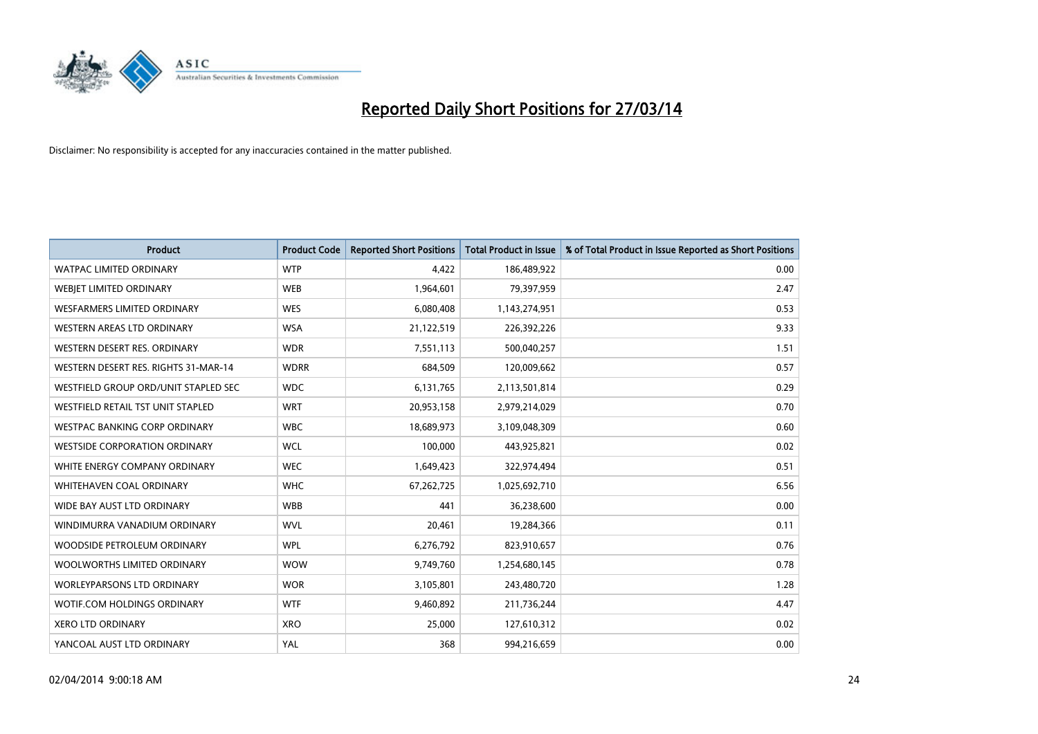

| <b>Product</b>                       | <b>Product Code</b> | <b>Reported Short Positions</b> | <b>Total Product in Issue</b> | % of Total Product in Issue Reported as Short Positions |
|--------------------------------------|---------------------|---------------------------------|-------------------------------|---------------------------------------------------------|
| <b>WATPAC LIMITED ORDINARY</b>       | <b>WTP</b>          | 4,422                           | 186,489,922                   | 0.00                                                    |
| WEBJET LIMITED ORDINARY              | <b>WEB</b>          | 1,964,601                       | 79,397,959                    | 2.47                                                    |
| WESFARMERS LIMITED ORDINARY          | <b>WES</b>          | 6,080,408                       | 1,143,274,951                 | 0.53                                                    |
| WESTERN AREAS LTD ORDINARY           | <b>WSA</b>          | 21,122,519                      | 226,392,226                   | 9.33                                                    |
| WESTERN DESERT RES. ORDINARY         | <b>WDR</b>          | 7,551,113                       | 500,040,257                   | 1.51                                                    |
| WESTERN DESERT RES. RIGHTS 31-MAR-14 | <b>WDRR</b>         | 684,509                         | 120,009,662                   | 0.57                                                    |
| WESTFIELD GROUP ORD/UNIT STAPLED SEC | <b>WDC</b>          | 6,131,765                       | 2,113,501,814                 | 0.29                                                    |
| WESTFIELD RETAIL TST UNIT STAPLED    | <b>WRT</b>          | 20,953,158                      | 2,979,214,029                 | 0.70                                                    |
| <b>WESTPAC BANKING CORP ORDINARY</b> | <b>WBC</b>          | 18,689,973                      | 3,109,048,309                 | 0.60                                                    |
| <b>WESTSIDE CORPORATION ORDINARY</b> | <b>WCL</b>          | 100,000                         | 443,925,821                   | 0.02                                                    |
| WHITE ENERGY COMPANY ORDINARY        | <b>WEC</b>          | 1,649,423                       | 322,974,494                   | 0.51                                                    |
| WHITEHAVEN COAL ORDINARY             | <b>WHC</b>          | 67,262,725                      | 1,025,692,710                 | 6.56                                                    |
| WIDE BAY AUST LTD ORDINARY           | <b>WBB</b>          | 441                             | 36,238,600                    | 0.00                                                    |
| WINDIMURRA VANADIUM ORDINARY         | <b>WVL</b>          | 20,461                          | 19,284,366                    | 0.11                                                    |
| WOODSIDE PETROLEUM ORDINARY          | <b>WPL</b>          | 6,276,792                       | 823,910,657                   | 0.76                                                    |
| WOOLWORTHS LIMITED ORDINARY          | <b>WOW</b>          | 9,749,760                       | 1,254,680,145                 | 0.78                                                    |
| <b>WORLEYPARSONS LTD ORDINARY</b>    | <b>WOR</b>          | 3,105,801                       | 243,480,720                   | 1.28                                                    |
| WOTIF.COM HOLDINGS ORDINARY          | <b>WTF</b>          | 9,460,892                       | 211,736,244                   | 4.47                                                    |
| <b>XERO LTD ORDINARY</b>             | <b>XRO</b>          | 25,000                          | 127,610,312                   | 0.02                                                    |
| YANCOAL AUST LTD ORDINARY            | YAL                 | 368                             | 994,216,659                   | 0.00                                                    |